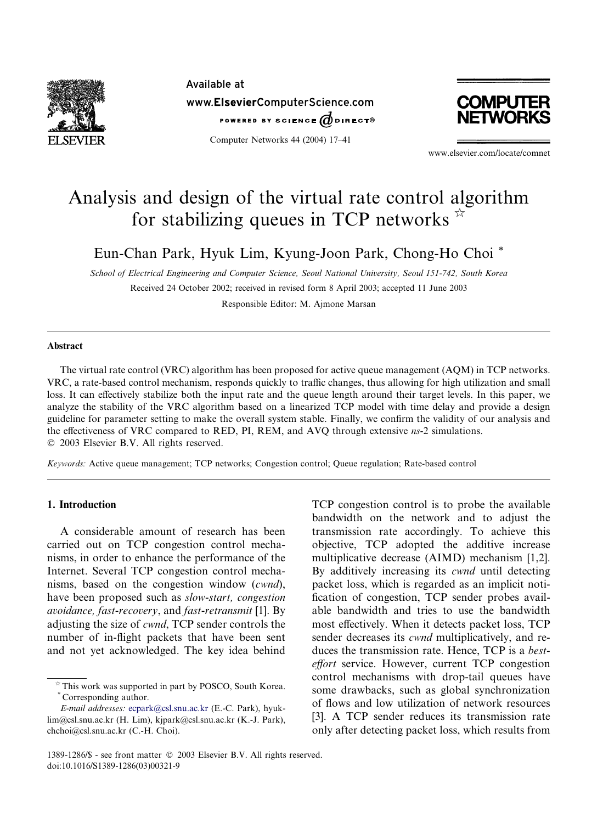

Available at www.ElsevierComputerScience.com POWERED BY SCIENCE @DIRECT®

Computer Networks 44 (2004) 17–41



www.elsevier.com/locate/comnet

# Analysis and design of the virtual rate control algorithm for stabilizing queues in TCP networks  $\hat{z}$

Eun-Chan Park, Hyuk Lim, Kyung-Joon Park, Chong-Ho Choi \*

School of Electrical Engineering and Computer Science, Seoul National University, Seoul 151-742, South Korea

Received 24 October 2002; received in revised form 8 April 2003; accepted 11 June 2003

Responsible Editor: M. Ajmone Marsan

## Abstract

The virtual rate control (VRC) algorithm has been proposed for active queue management (AQM) in TCP networks. VRC, a rate-based control mechanism, responds quickly to traffic changes, thus allowing for high utilization and small loss. It can effectively stabilize both the input rate and the queue length around their target levels. In this paper, we analyze the stability of the VRC algorithm based on a linearized TCP model with time delay and provide a design guideline for parameter setting to make the overall system stable. Finally, we confirm the validity of our analysis and the effectiveness of VRC compared to RED, PI, REM, and AVQ through extensive ns-2 simulations. 2003 Elsevier B.V. All rights reserved.

Keywords: Active queue management; TCP networks; Congestion control; Queue regulation; Rate-based control

# 1. Introduction

A considerable amount of research has been carried out on TCP congestion control mechanisms, in order to enhance the performance of the Internet. Several TCP congestion control mechanisms, based on the congestion window (cwnd), have been proposed such as slow-start, congestion avoidance, fast-recovery, and fast-retransmit [1]. By adjusting the size of cwnd, TCP sender controls the number of in-flight packets that have been sent and not yet acknowledged. The key idea behind TCP congestion control is to probe the available bandwidth on the network and to adjust the transmission rate accordingly. To achieve this objective, TCP adopted the additive increase multiplicative decrease (AIMD) mechanism [1,2]. By additively increasing its *cwnd* until detecting packet loss, which is regarded as an implicit notification of congestion, TCP sender probes available bandwidth and tries to use the bandwidth most effectively. When it detects packet loss, TCP sender decreases its cwnd multiplicatively, and reduces the transmission rate. Hence, TCP is a besteffort service. However, current TCP congestion control mechanisms with drop-tail queues have some drawbacks, such as global synchronization of flows and low utilization of network resources [3]. A TCP sender reduces its transmission rate only after detecting packet loss, which results from

 $*$  This work was supported in part by POSCO, South Korea. \* Corresponding author.

E-mail addresses: [ecpark@csl.snu.ac.kr](mail to: ecpark@csl.snu.ac.kr) (E.-C. Park), hyuklim@csl.snu.ac.kr (H. Lim), kjpark@csl.snu.ac.kr (K.-J. Park), chchoi@csl.snu.ac.kr (C.-H. Choi).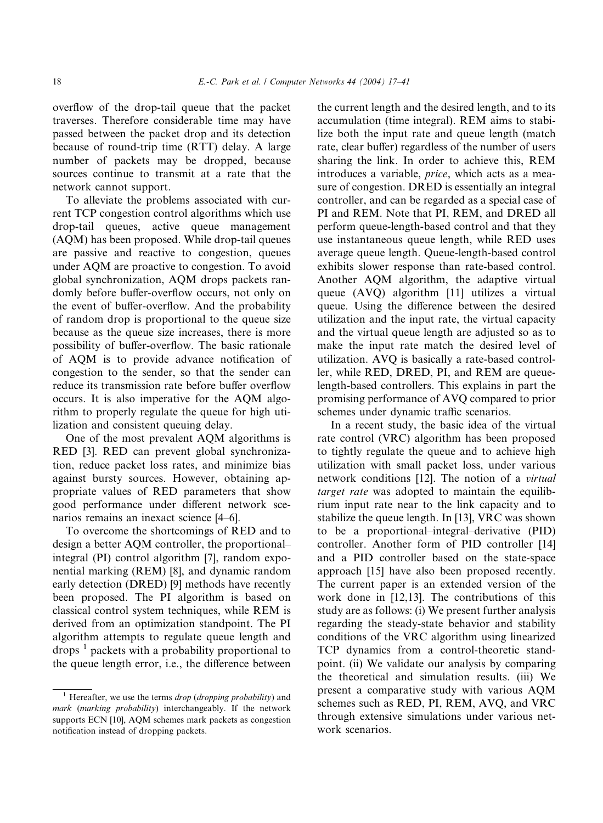overflow of the drop-tail queue that the packet traverses. Therefore considerable time may have passed between the packet drop and its detection because of round-trip time (RTT) delay. A large number of packets may be dropped, because sources continue to transmit at a rate that the network cannot support.

To alleviate the problems associated with current TCP congestion control algorithms which use drop-tail queues, active queue management (AQM) has been proposed. While drop-tail queues are passive and reactive to congestion, queues under AQM are proactive to congestion. To avoid global synchronization, AQM drops packets randomly before buffer-overflow occurs, not only on the event of buffer-overflow. And the probability of random drop is proportional to the queue size because as the queue size increases, there is more possibility of buffer-overflow. The basic rationale of AQM is to provide advance notification of congestion to the sender, so that the sender can reduce its transmission rate before buffer overflow occurs. It is also imperative for the AQM algorithm to properly regulate the queue for high utilization and consistent queuing delay.

One of the most prevalent AQM algorithms is RED [3]. RED can prevent global synchronization, reduce packet loss rates, and minimize bias against bursty sources. However, obtaining appropriate values of RED parameters that show good performance under different network scenarios remains an inexact science [4–6].

To overcome the shortcomings of RED and to design a better AQM controller, the proportional– integral (PI) control algorithm [7], random exponential marking (REM) [8], and dynamic random early detection (DRED) [9] methods have recently been proposed. The PI algorithm is based on classical control system techniques, while REM is derived from an optimization standpoint. The PI algorithm attempts to regulate queue length and drops  $\frac{1}{1}$  packets with a probability proportional to the queue length error, i.e., the difference between the current length and the desired length, and to its accumulation (time integral). REM aims to stabilize both the input rate and queue length (match rate, clear buffer) regardless of the number of users sharing the link. In order to achieve this, REM introduces a variable, price, which acts as a measure of congestion. DRED is essentially an integral controller, and can be regarded as a special case of PI and REM. Note that PI, REM, and DRED all perform queue-length-based control and that they use instantaneous queue length, while RED uses average queue length. Queue-length-based control exhibits slower response than rate-based control. Another AQM algorithm, the adaptive virtual queue (AVQ) algorithm [11] utilizes a virtual queue. Using the difference between the desired utilization and the input rate, the virtual capacity and the virtual queue length are adjusted so as to make the input rate match the desired level of utilization. AVQ is basically a rate-based controller, while RED, DRED, PI, and REM are queuelength-based controllers. This explains in part the promising performance of AVQ compared to prior schemes under dynamic traffic scenarios.

In a recent study, the basic idea of the virtual rate control (VRC) algorithm has been proposed to tightly regulate the queue and to achieve high utilization with small packet loss, under various network conditions [12]. The notion of a virtual target rate was adopted to maintain the equilibrium input rate near to the link capacity and to stabilize the queue length. In [13], VRC was shown to be a proportional–integral–derivative (PID) controller. Another form of PID controller [14] and a PID controller based on the state-space approach [15] have also been proposed recently. The current paper is an extended version of the work done in [12,13]. The contributions of this study are as follows: (i) We present further analysis regarding the steady-state behavior and stability conditions of the VRC algorithm using linearized TCP dynamics from a control-theoretic standpoint. (ii) We validate our analysis by comparing the theoretical and simulation results. (iii) We present a comparative study with various AQM schemes such as RED, PI, REM, AVQ, and VRC through extensive simulations under various network scenarios.

<sup>&</sup>lt;sup>1</sup> Hereafter, we use the terms *drop* (*dropping probability*) and mark (marking probability) interchangeably. If the network supports ECN [10], AQM schemes mark packets as congestion notification instead of dropping packets.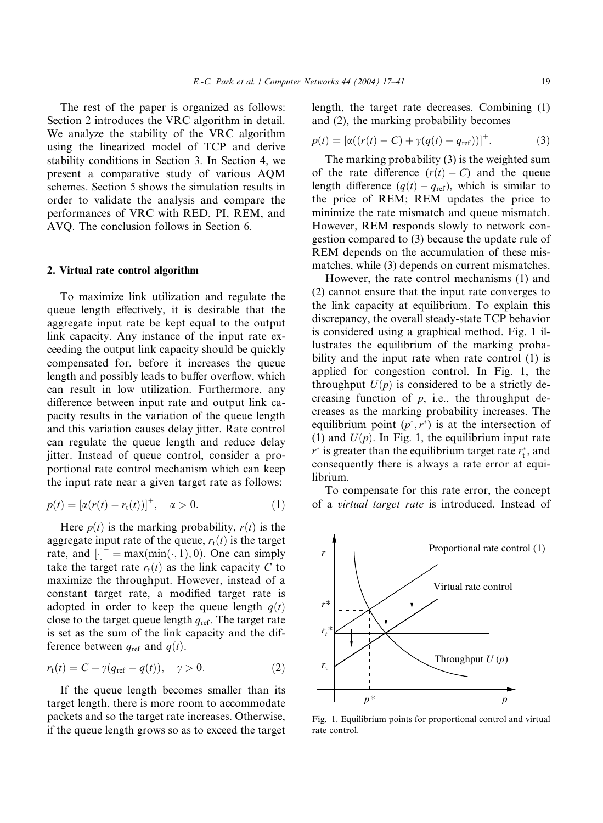The rest of the paper is organized as follows: Section 2 introduces the VRC algorithm in detail. We analyze the stability of the VRC algorithm using the linearized model of TCP and derive stability conditions in Section 3. In Section 4, we present a comparative study of various AQM schemes. Section 5 shows the simulation results in order to validate the analysis and compare the performances of VRC with RED, PI, REM, and AVQ. The conclusion follows in Section 6.

#### 2. Virtual rate control algorithm

To maximize link utilization and regulate the queue length effectively, it is desirable that the aggregate input rate be kept equal to the output link capacity. Any instance of the input rate exceeding the output link capacity should be quickly compensated for, before it increases the queue length and possibly leads to buffer overflow, which can result in low utilization. Furthermore, any difference between input rate and output link capacity results in the variation of the queue length and this variation causes delay jitter. Rate control can regulate the queue length and reduce delay jitter. Instead of queue control, consider a proportional rate control mechanism which can keep the input rate near a given target rate as follows:

$$
p(t) = [\alpha(r(t) - r_t(t))]^+, \quad \alpha > 0.
$$
 (1)

Here  $p(t)$  is the marking probability,  $r(t)$  is the aggregate input rate of the queue,  $r_t(t)$  is the target rate, and  $[\cdot]^+$  = max $(\min(\cdot, 1), 0)$ . One can simply take the target rate  $r_t(t)$  as the link capacity C to maximize the throughput. However, instead of a constant target rate, a modified target rate is adopted in order to keep the queue length  $q(t)$ close to the target queue length  $q_{ref}$ . The target rate is set as the sum of the link capacity and the difference between  $q_{ref}$  and  $q(t)$ .

$$
r_{t}(t) = C + \gamma (q_{ref} - q(t)), \quad \gamma > 0.
$$
 (2)

If the queue length becomes smaller than its target length, there is more room to accommodate packets and so the target rate increases. Otherwise, if the queue length grows so as to exceed the target

length, the target rate decreases. Combining (1) and (2), the marking probability becomes

$$
p(t) = [\alpha((r(t) - C) + \gamma(q(t) - q_{ref}))]^{+}.
$$
 (3)

The marking probability (3) is the weighted sum of the rate difference  $(r(t) - C)$  and the queue length difference  $(q(t) - q_{ref})$ , which is similar to the price of REM; REM updates the price to minimize the rate mismatch and queue mismatch. However, REM responds slowly to network congestion compared to (3) because the update rule of REM depends on the accumulation of these mismatches, while (3) depends on current mismatches.

However, the rate control mechanisms (1) and (2) cannot ensure that the input rate converges to the link capacity at equilibrium. To explain this discrepancy, the overall steady-state TCP behavior is considered using a graphical method. Fig. 1 illustrates the equilibrium of the marking probability and the input rate when rate control (1) is applied for congestion control. In Fig. 1, the throughput  $U(p)$  is considered to be a strictly decreasing function of  $p$ , i.e., the throughput decreases as the marking probability increases. The equilibrium point  $(p^*, r^*)$  is at the intersection of (1) and  $U(p)$ . In Fig. 1, the equilibrium input rate  $r^*$  is greater than the equilibrium target rate  $r_t^*$ , and consequently there is always a rate error at equilibrium.

To compensate for this rate error, the concept of a virtual target rate is introduced. Instead of



Fig. 1. Equilibrium points for proportional control and virtual rate control.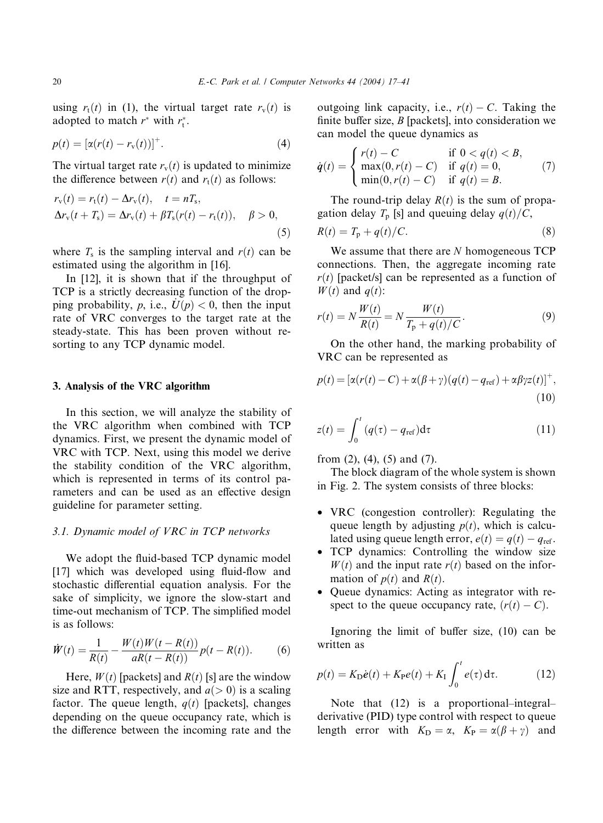using  $r_t(t)$  in (1), the virtual target rate  $r_v(t)$  is adopted to match  $r^*$  with  $r_t^*$ .

$$
p(t) = [\alpha(r(t) - r_{v}(t))]^{+}.
$$
 (4)

The virtual target rate  $r_v(t)$  is updated to minimize the difference between  $r(t)$  and  $r_t(t)$  as follows:

$$
r_{v}(t) = r_{t}(t) - \Delta r_{v}(t), \quad t = nT_{s},
$$
  
\n
$$
\Delta r_{v}(t + T_{s}) = \Delta r_{v}(t) + \beta T_{s}(r(t) - r_{t}(t)), \quad \beta > 0,
$$
\n(5)

where  $T_s$  is the sampling interval and  $r(t)$  can be estimated using the algorithm in [16].

In [12], it is shown that if the throughput of TCP is a strictly decreasing function of the dropping probability, p, i.e.,  $\dot{U}(p) < 0$ , then the input rate of VRC converges to the target rate at the steady-state. This has been proven without resorting to any TCP dynamic model.

# 3. Analysis of the VRC algorithm

In this section, we will analyze the stability of the VRC algorithm when combined with TCP dynamics. First, we present the dynamic model of VRC with TCP. Next, using this model we derive the stability condition of the VRC algorithm, which is represented in terms of its control parameters and can be used as an effective design guideline for parameter setting.

# 3.1. Dynamic model of VRC in TCP networks

We adopt the fluid-based TCP dynamic model [17] which was developed using fluid-flow and stochastic differential equation analysis. For the sake of simplicity, we ignore the slow-start and time-out mechanism of TCP. The simplified model is as follows:

$$
\dot{W}(t) = \frac{1}{R(t)} - \frac{W(t)W(t - R(t))}{aR(t - R(t))}p(t - R(t)).
$$
\n(6)

Here,  $W(t)$  [packets] and  $R(t)$  [s] are the window size and RTT, respectively, and  $a(> 0)$  is a scaling factor. The queue length,  $q(t)$  [packets], changes depending on the queue occupancy rate, which is the difference between the incoming rate and the outgoing link capacity, i.e.,  $r(t) - C$ . Taking the finite buffer size,  $B$  [packets], into consideration we can model the queue dynamics as

$$
\dot{q}(t) = \begin{cases} r(t) - C & \text{if } 0 < q(t) < B, \\ \max(0, r(t) - C) & \text{if } q(t) = 0, \\ \min(0, r(t) - C) & \text{if } q(t) = B. \end{cases}
$$
(7)

The round-trip delay  $R(t)$  is the sum of propagation delay  $T_p$  [s] and queuing delay  $q(t)/C$ ,

$$
R(t) = T_{\rm p} + q(t)/C.
$$
 (8)

We assume that there are N homogeneous TCP connections. Then, the aggregate incoming rate  $r(t)$  [packet/s] can be represented as a function of  $W(t)$  and  $q(t)$ :

$$
r(t) = N \frac{W(t)}{R(t)} = N \frac{W(t)}{T_{\rm p} + q(t)/C}.
$$
 (9)

On the other hand, the marking probability of VRC can be represented as

$$
p(t) = [\alpha(r(t) - C) + \alpha(\beta + \gamma)(q(t) - q_{\text{ref}}) + \alpha\beta\gamma z(t)]^+,
$$
  
(10)

$$
z(t) = \int_0^t (q(\tau) - q_{\text{ref}}) d\tau \tag{11}
$$

from  $(2)$ ,  $(4)$ ,  $(5)$  and  $(7)$ .

The block diagram of the whole system is shown in Fig. 2. The system consists of three blocks:

- VRC (congestion controller): Regulating the queue length by adjusting  $p(t)$ , which is calculated using queue length error,  $e(t) = q(t) - q_{ref}$ .
- TCP dynamics: Controlling the window size  $W(t)$  and the input rate  $r(t)$  based on the information of  $p(t)$  and  $R(t)$ .
- Queue dynamics: Acting as integrator with respect to the queue occupancy rate,  $(r(t) - C)$ .

Ignoring the limit of buffer size, (10) can be written as

$$
p(t) = K_{D}\dot{e}(t) + K_{P}e(t) + K_{I} \int_{0}^{t} e(\tau) d\tau.
$$
 (12)

Note that (12) is a proportional–integral– derivative (PID) type control with respect to queue length error with  $K_{\text{D}} = \alpha$ ,  $K_{\text{P}} = \alpha(\beta + \gamma)$  and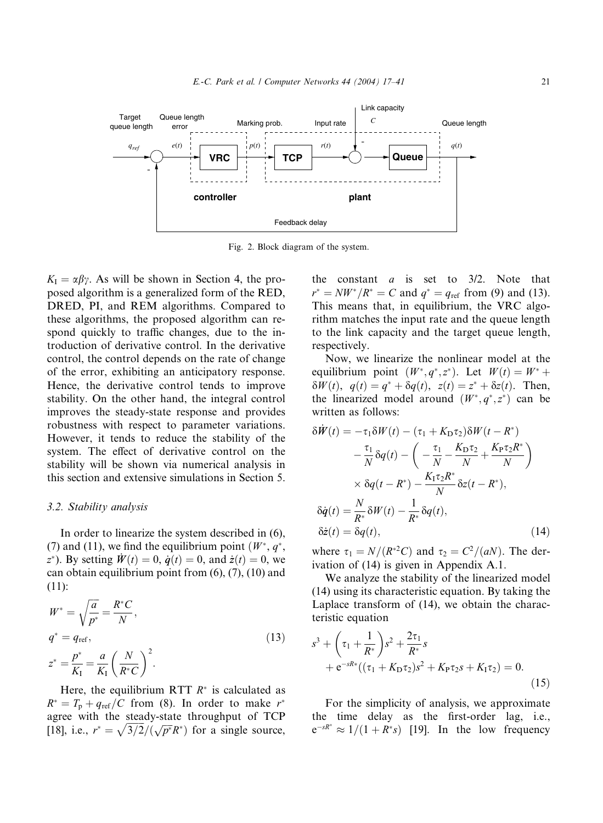

Fig. 2. Block diagram of the system.

 $K_{I} = \alpha \beta \gamma$ . As will be shown in Section 4, the proposed algorithm is a generalized form of the RED, DRED, PI, and REM algorithms. Compared to these algorithms, the proposed algorithm can respond quickly to traffic changes, due to the introduction of derivative control. In the derivative control, the control depends on the rate of change of the error, exhibiting an anticipatory response. Hence, the derivative control tends to improve stability. On the other hand, the integral control improves the steady-state response and provides robustness with respect to parameter variations. However, it tends to reduce the stability of the system. The effect of derivative control on the stability will be shown via numerical analysis in this section and extensive simulations in Section 5.

#### 3.2. Stability analysis

In order to linearize the system described in (6), (7) and (11), we find the equilibrium point  $(W^*, q^*,$  $z^*$ ). By setting  $\dot{W}(t) = 0$ ,  $\dot{q}(t) = 0$ , and  $\dot{z}(t) = 0$ , we can obtain equilibrium point from (6), (7), (10) and (11):

$$
W^* = \sqrt{\frac{a}{p^*}} = \frac{R^*C}{N},
$$
  
\n
$$
q^* = q_{\text{ref}},
$$
  
\n
$$
z^* = \frac{p^*}{K_1} = \frac{a}{K_1} \left(\frac{N}{R^*C}\right)^2.
$$
\n(13)

Here, the equilibrium RTT  $R^*$  is calculated as  $R^* = T_p + q_{ref}/C$  from (8). In order to make  $r^*$ agree with the steady-state throughput of TCP [18], i.e.,  $r^* = \sqrt{3/2}/(\sqrt{p^*}R^*)$  for a single source,

the constant  $a$  is set to  $3/2$ . Note that  $r^* = NW^*/R^* = C$  and  $q^* = q_{ref}$  from (9) and (13). This means that, in equilibrium, the VRC algorithm matches the input rate and the queue length to the link capacity and the target queue length, respectively.

Now, we linearize the nonlinear model at the equilibrium point  $(W^*, q^*, z^*)$ . Let  $W(t) = W^* +$  $\delta W(t)$ ,  $q(t) = q^* + \delta q(t)$ ,  $z(t) = z^* + \delta z(t)$ . Then, the linearized model around  $(W^*, q^*, z^*)$  can be written as follows:

$$
\delta \dot{W}(t) = -\tau_1 \delta W(t) - (\tau_1 + K_{\rm D} \tau_2) \delta W(t - R^*)
$$
  
\n
$$
- \frac{\tau_1}{N} \delta q(t) - \left( -\frac{\tau_1}{N} - \frac{K_{\rm D} \tau_2}{N} + \frac{K_{\rm P} \tau_2 R^*}{N} \right)
$$
  
\n
$$
\times \delta q(t - R^*) - \frac{K_{\rm I} \tau_2 R^*}{N} \delta z(t - R^*),
$$
  
\n
$$
\delta \dot{q}(t) = \frac{N}{R^*} \delta W(t) - \frac{1}{R^*} \delta q(t),
$$
  
\n
$$
\delta \dot{z}(t) = \delta q(t),
$$
\n(14)

where  $\tau_1 = N/(R^{2C})$  and  $\tau_2 = C^2/(aN)$ . The derivation of (14) is given in Appendix A.1.

We analyze the stability of the linearized model (14) using its characteristic equation. By taking the Laplace transform of (14), we obtain the characteristic equation

$$
s^{3} + \left(\tau_{1} + \frac{1}{R^{*}}\right)s^{2} + \frac{2\tau_{1}}{R^{*}}s + e^{-sR^{*}}((\tau_{1} + K_{D}\tau_{2})s^{2} + K_{P}\tau_{2}s + K_{I}\tau_{2}) = 0.
$$
\n(15)

For the simplicity of analysis, we approximate the time delay as the first-order lag, i.e.,  $e^{-sR^*} \approx 1/(1 + R^*s)$  [19]. In the low frequency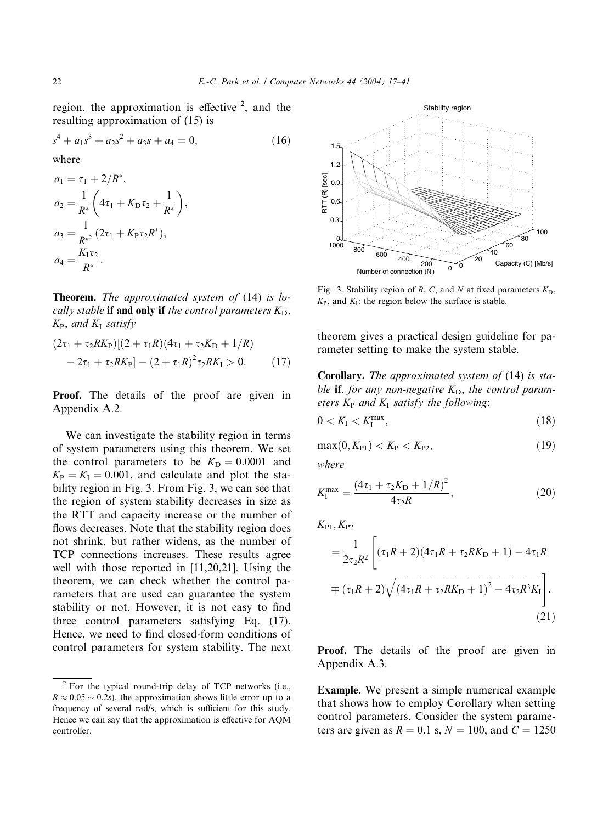region, the approximation is effective  $2$ , and the resulting approximation of (15) is

$$
s4 + a1s3 + a2s2 + a3s + a4 = 0,
$$
 (16)

where

$$
a_1 = \tau_1 + 2/R^*,
$$
  
\n
$$
a_2 = \frac{1}{R^*} \left( 4\tau_1 + K_{\text{D}}\tau_2 + \frac{1}{R^*} \right),
$$
  
\n
$$
a_3 = \frac{1}{R^{*^2}} (2\tau_1 + K_{\text{P}}\tau_2 R^*),
$$
  
\n
$$
a_4 = \frac{K_{\text{I}}\tau_2}{R^*}.
$$

Theorem. The approximated system of (14) is locally stable if and only if the control parameters  $K_D$ ,  $K_{P}$ , and  $K_{I}$  satisfy

$$
(2\tau_1 + \tau_2 R K_P)[(2 + \tau_1 R)(4\tau_1 + \tau_2 K_D + 1/R)- 2\tau_1 + \tau_2 R K_P] - (2 + \tau_1 R)^2 \tau_2 R K_I > 0.
$$
 (17)

Proof. The details of the proof are given in Appendix A.2.

We can investigate the stability region in terms of system parameters using this theorem. We set the control parameters to be  $K_D = 0.0001$  and  $K_P = K_I = 0.001$ , and calculate and plot the stability region in Fig. 3. From Fig. 3, we can see that the region of system stability decreases in size as the RTT and capacity increase or the number of flows decreases. Note that the stability region does not shrink, but rather widens, as the number of TCP connections increases. These results agree well with those reported in [11,20,21]. Using the theorem, we can check whether the control parameters that are used can guarantee the system stability or not. However, it is not easy to find three control parameters satisfying Eq. (17). Hence, we need to find closed-form conditions of control parameters for system stability. The next



Fig. 3. Stability region of R, C, and N at fixed parameters  $K<sub>D</sub>$ ,  $K_{\rm P}$ , and  $K_{\rm I}$ : the region below the surface is stable.

theorem gives a practical design guideline for parameter setting to make the system stable.

Corollary. The approximated system of (14) is stable **if**, for any non-negative  $K_D$ , the control parameters  $K_P$  and  $K_I$  satisfy the following:

$$
0 < K_{\rm I} < K_{\rm I}^{\rm max},\tag{18}
$$

$$
\max(0, K_{P1}) < K_P < K_{P2}, \tag{19}
$$

where

$$
K_{\rm I}^{\rm max} = \frac{(4\tau_1 + \tau_2 K_{\rm D} + 1/R)^2}{4\tau_2 R},\tag{20}
$$

 $K_{P1}$ ,  $K_{P2}$ 

$$
= \frac{1}{2\tau_2 R^2} \left[ (\tau_1 R + 2)(4\tau_1 R + \tau_2 R K_{\rm D} + 1) - 4\tau_1 R
$$
  
 
$$
\pm (\tau_1 R + 2) \sqrt{(4\tau_1 R + \tau_2 R K_{\rm D} + 1)^2 - 4\tau_2 R^3 K_{\rm I}} \right].
$$
  
(21)

Proof. The details of the proof are given in Appendix A.3.

Example. We present a simple numerical example that shows how to employ Corollary when setting control parameters. Consider the system parameters are given as  $R = 0.1$  s,  $N = 100$ , and  $C = 1250$ 

 $2$  For the typical round-trip delay of TCP networks (i.e.,  $R \approx 0.05 \sim 0.2s$ , the approximation shows little error up to a frequency of several rad/s, which is sufficient for this study. Hence we can say that the approximation is effective for AQM controller.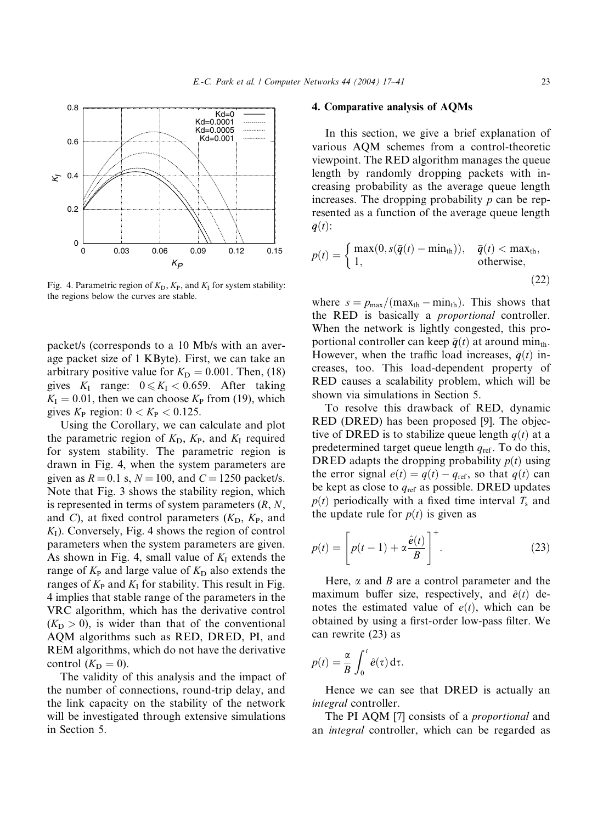

Fig. 4. Parametric region of  $K_D$ ,  $K_P$ , and  $K_I$  for system stability: the regions below the curves are stable.

packet/s (corresponds to a 10 Mb/s with an average packet size of 1 KByte). First, we can take an arbitrary positive value for  $K_D = 0.001$ . Then, (18) gives  $K_I$  range:  $0 \le K_I < 0.659$ . After taking  $K_{I} = 0.01$ , then we can choose  $K_{P}$  from (19), which gives  $K_P$  region:  $0 < K_P < 0.125$ .

Using the Corollary, we can calculate and plot the parametric region of  $K_D$ ,  $K_P$ , and  $K_I$  required for system stability. The parametric region is drawn in Fig. 4, when the system parameters are given as  $R = 0.1$  s,  $N = 100$ , and  $C = 1250$  packet/s. Note that Fig. 3 shows the stability region, which is represented in terms of system parameters  $(R, N, )$ and C), at fixed control parameters  $(K_D, K_P,$  and  $K_I$ ). Conversely, Fig. 4 shows the region of control parameters when the system parameters are given. As shown in Fig. 4, small value of  $K_I$  extends the range of  $K_{\rm P}$  and large value of  $K_{\rm D}$  also extends the ranges of  $K_{\rm P}$  and  $K_{\rm I}$  for stability. This result in Fig. 4 implies that stable range of the parameters in the VRC algorithm, which has the derivative control  $(K_D > 0)$ , is wider than that of the conventional AQM algorithms such as RED, DRED, PI, and REM algorithms, which do not have the derivative control  $(K_D = 0)$ .

The validity of this analysis and the impact of the number of connections, round-trip delay, and the link capacity on the stability of the network will be investigated through extensive simulations in Section 5.

# 4. Comparative analysis of AQMs

In this section, we give a brief explanation of various AQM schemes from a control-theoretic viewpoint. The RED algorithm manages the queue length by randomly dropping packets with increasing probability as the average queue length increases. The dropping probability  $p$  can be represented as a function of the average queue length  $\bar{\boldsymbol{q}}(t)$ :

$$
p(t) = \begin{cases} \max(0, s(\bar{q}(t) - \min_{\text{th}})), & \bar{q}(t) < \max_{\text{th}}, \\ 1, & \text{otherwise}, \end{cases}
$$
(22)

where  $s = p_{\text{max}}/(\text{max}_{\text{th}} - \text{min}_{\text{th}})$ . This shows that the RED is basically a proportional controller. When the network is lightly congested, this proportional controller can keep  $\bar{q}(t)$  at around min<sub>th</sub>. However, when the traffic load increases,  $\bar{q}(t)$  increases, too. This load-dependent property of RED causes a scalability problem, which will be shown via simulations in Section 5.

To resolve this drawback of RED, dynamic RED (DRED) has been proposed [9]. The objective of DRED is to stabilize queue length  $q(t)$  at a predetermined target queue length  $q_{\text{ref}}$ . To do this, DRED adapts the dropping probability  $p(t)$  using the error signal  $e(t) = q(t) - q_{ref}$ , so that  $q(t)$  can be kept as close to  $q_{ref}$  as possible. DRED updates  $p(t)$  periodically with a fixed time interval  $T_s$  and the update rule for  $p(t)$  is given as

$$
p(t) = \left[ p(t-1) + \alpha \frac{\hat{e}(t)}{B} \right]^+.
$$
 (23)

Here,  $\alpha$  and  $\beta$  are a control parameter and the maximum buffer size, respectively, and  $\hat{e}(t)$  denotes the estimated value of  $e(t)$ , which can be obtained by using a first-order low-pass filter. We can rewrite (23) as

$$
p(t) = \frac{\alpha}{B} \int_0^t \hat{e}(\tau) d\tau.
$$

Hence we can see that DRED is actually an integral controller.

The PI AQM [7] consists of a *proportional* and an integral controller, which can be regarded as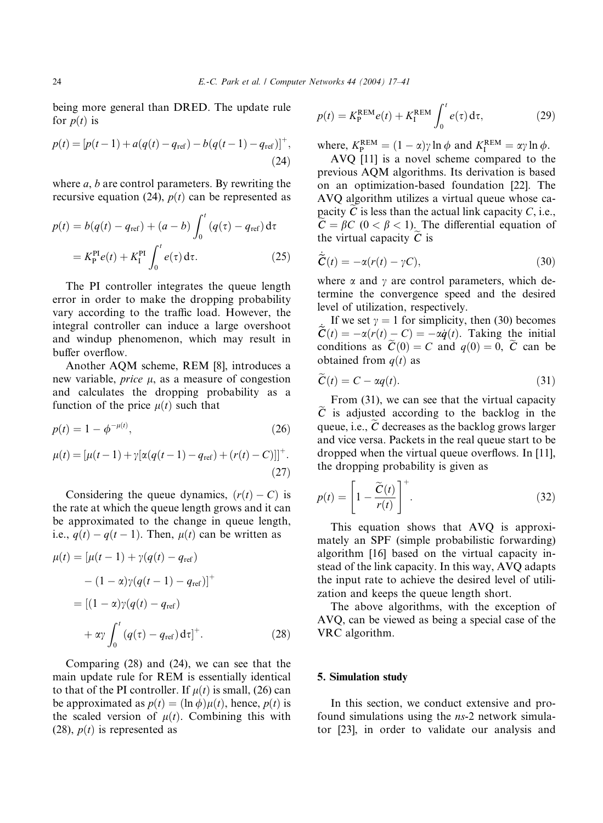being more general than DRED. The update rule for  $p(t)$  is

$$
p(t) = [p(t-1) + a(q(t) - q_{ref}) - b(q(t-1) - q_{ref})]^+,
$$
\n(24)

where  $a, b$  are control parameters. By rewriting the recursive equation (24),  $p(t)$  can be represented as

$$
p(t) = b(q(t) - q_{ref}) + (a - b) \int_0^t (q(\tau) - q_{ref}) d\tau
$$
  
=  $K_P^{PI} e(t) + K_I^{PI} \int_0^t e(\tau) d\tau.$  (25)

The PI controller integrates the queue length error in order to make the dropping probability vary according to the traffic load. However, the integral controller can induce a large overshoot and windup phenomenon, which may result in buffer overflow.

Another AQM scheme, REM [8], introduces a new variable, *price*  $\mu$ , as a measure of congestion and calculates the dropping probability as a function of the price  $\mu(t)$  such that

$$
p(t) = 1 - \phi^{-\mu(t)},
$$
\n(26)

$$
\mu(t) = [\mu(t-1) + \gamma[\alpha(q(t-1) - q_{\text{ref}}) + (r(t) - C)]]^{+}.
$$
\n(27)

Considering the queue dynamics,  $(r(t) - C)$  is the rate at which the queue length grows and it can be approximated to the change in queue length, i.e.,  $q(t) - q(t-1)$ . Then,  $\mu(t)$  can be written as

$$
\mu(t) = \left[\mu(t-1) + \gamma(q(t) - q_{\text{ref}})\n- (1 - \alpha)\gamma(q(t-1) - q_{\text{ref}})\right]^+\n= \left[(1-\alpha)\gamma(q(t) - q_{\text{ref}})\n+ \alpha\gamma \int_0^t (q(\tau) - q_{\text{ref}}) d\tau\right]^+\n\qquad (28)
$$

Comparing (28) and (24), we can see that the main update rule for REM is essentially identical to that of the PI controller. If  $\mu(t)$  is small, (26) can be approximated as  $p(t) = (\ln \phi) \mu(t)$ , hence,  $p(t)$  is the scaled version of  $\mu(t)$ . Combining this with (28),  $p(t)$  is represented as

$$
p(t) = K_{\rm P}^{\rm REM} e(t) + K_{\rm I}^{\rm REM} \int_0^t e(\tau) d\tau,
$$
 (29)

where,  $K_P^{\text{REM}} = (1 - \alpha) \gamma \ln \phi$  and  $K_I^{\text{REM}} = \alpha \gamma \ln \phi$ .

AVQ [11] is a novel scheme compared to the previous AQM algorithms. Its derivation is based on an optimization-based foundation [22]. The AVQ algorithm utilizes a virtual queue whose capacity  $\tilde{C}$  is less than the actual link capacity  $C$ , i.e.,  $C = \beta C$  (0 <  $\beta$  < 1). The differential equation of the virtual capacity  $\tilde{C}$  is

$$
\dot{\tilde{C}}(t) = -\alpha(r(t) - \gamma C),\tag{30}
$$

where  $\alpha$  and  $\gamma$  are control parameters, which determine the convergence speed and the desired level of utilization, respectively.

If we set  $\gamma = 1$  for simplicity, then (30) becomes  $\widetilde{C}(t) = -\alpha(r(t) - C) = -\alpha \dot{q}(t)$ . Taking the initial conditions as  $\tilde{C}(0) = C$  and  $q(0) = 0$ ,  $\tilde{C}$  can be obtained from  $q(t)$  as

$$
C(t) = C - \alpha q(t). \tag{31}
$$

From (31), we can see that the virtual capacity  $\tilde{C}$  is adjusted according to the backlog in the queue, i.e.,  $\ddot{C}$  decreases as the backlog grows larger and vice versa. Packets in the real queue start to be dropped when the virtual queue overflows. In [11], the dropping probability is given as

$$
p(t) = \left[1 - \frac{\widetilde{C}(t)}{r(t)}\right]^{+}.
$$
\n(32)

This equation shows that AVQ is approximately an SPF (simple probabilistic forwarding) algorithm [16] based on the virtual capacity instead of the link capacity. In this way, AVQ adapts the input rate to achieve the desired level of utilization and keeps the queue length short.

The above algorithms, with the exception of AVQ, can be viewed as being a special case of the VRC algorithm.

#### 5. Simulation study

In this section, we conduct extensive and profound simulations using the ns-2 network simulator [23], in order to validate our analysis and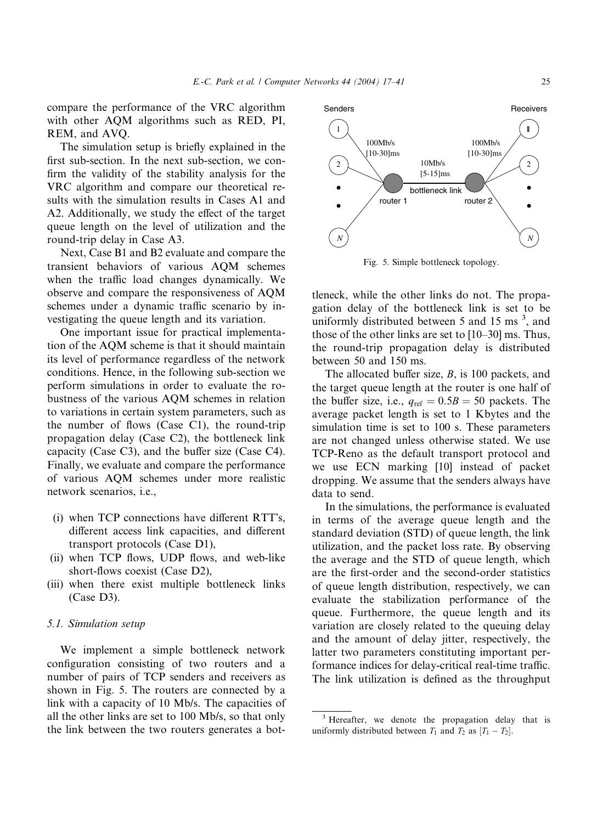compare the performance of the VRC algorithm with other AQM algorithms such as RED, PI, REM, and AVQ.

The simulation setup is briefly explained in the first sub-section. In the next sub-section, we confirm the validity of the stability analysis for the VRC algorithm and compare our theoretical results with the simulation results in Cases A1 and A2. Additionally, we study the effect of the target queue length on the level of utilization and the round-trip delay in Case A3.

Next, Case B1 and B2 evaluate and compare the transient behaviors of various AQM schemes when the traffic load changes dynamically. We observe and compare the responsiveness of AQM schemes under a dynamic traffic scenario by investigating the queue length and its variation.

One important issue for practical implementation of the AQM scheme is that it should maintain its level of performance regardless of the network conditions. Hence, in the following sub-section we perform simulations in order to evaluate the robustness of the various AQM schemes in relation to variations in certain system parameters, such as the number of flows (Case C1), the round-trip propagation delay (Case C2), the bottleneck link capacity (Case C3), and the buffer size (Case C4). Finally, we evaluate and compare the performance of various AQM schemes under more realistic network scenarios, i.e.,

- $(i)$  when TCP connections have different RTT's, different access link capacities, and different transport protocols (Case D1),
- i(ii) when TCP flows, UDP flows, and web-like short-flows coexist (Case D2),
- (iii) when there exist multiple bottleneck links (Case D3).

## 5.1. Simulation setup

We implement a simple bottleneck network configuration consisting of two routers and a number of pairs of TCP senders and receivers as shown in Fig. 5. The routers are connected by a link with a capacity of 10 Mb/s. The capacities of all the other links are set to 100 Mb/s, so that only the link between the two routers generates a bot-



Fig. 5. Simple bottleneck topology.

tleneck, while the other links do not. The propagation delay of the bottleneck link is set to be uniformly distributed between 5 and 15 ms  $3$ , and those of the other links are set to [10–30] ms. Thus, the round-trip propagation delay is distributed between 50 and 150 ms.

The allocated buffer size, B, is 100 packets, and the target queue length at the router is one half of the buffer size, i.e.,  $q_{ref} = 0.5B = 50$  packets. The average packet length is set to 1 Kbytes and the simulation time is set to 100 s. These parameters are not changed unless otherwise stated. We use TCP-Reno as the default transport protocol and we use ECN marking [10] instead of packet dropping. We assume that the senders always have data to send.

In the simulations, the performance is evaluated in terms of the average queue length and the standard deviation (STD) of queue length, the link utilization, and the packet loss rate. By observing the average and the STD of queue length, which are the first-order and the second-order statistics of queue length distribution, respectively, we can evaluate the stabilization performance of the queue. Furthermore, the queue length and its variation are closely related to the queuing delay and the amount of delay jitter, respectively, the latter two parameters constituting important performance indices for delay-critical real-time traffic. The link utilization is defined as the throughput

<sup>&</sup>lt;sup>3</sup> Hereafter, we denote the propagation delay that is uniformly distributed between  $T_1$  and  $T_2$  as  $[T_1 - T_2]$ .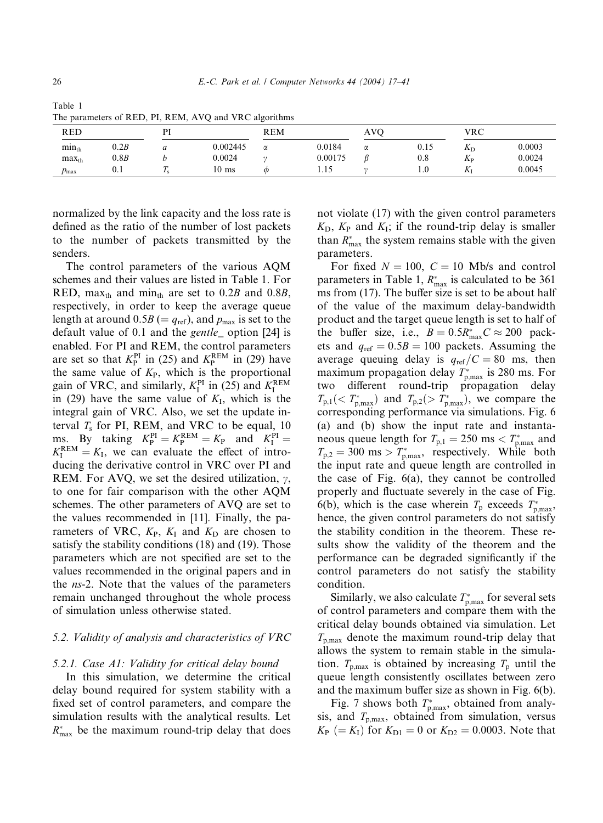| <b>RED</b><br>DТ |      | <b>REM</b>   |                 | <b>AVO</b> |         | <b>VRC</b> |      |              |        |
|------------------|------|--------------|-----------------|------------|---------|------------|------|--------------|--------|
| $min_{th}$       | 0.2B | a            | 0.002445        | α          | 0.0184  | α          | 0.15 | $\mathbf{v}$ | 0.0003 |
| $max_{th}$       | 0.8B |              | 0.0024          |            | 0.00175 |            | 0.8  | Λp           | 0.0024 |
| $p_{\text{max}}$ | 0.1  | $\mathbf{r}$ | $10 \text{ ms}$ | Ф          | 1.15    |            | 1.0  | A            | 0.0045 |

Table 1 The parameters of RED, PI, REM, AVQ and VRC algorithms

normalized by the link capacity and the loss rate is defined as the ratio of the number of lost packets to the number of packets transmitted by the senders.

The control parameters of the various AQM schemes and their values are listed in Table 1. For RED, max<sub>th</sub> and min<sub>th</sub> are set to 0.2B and 0.8B, respectively, in order to keep the average queue length at around  $0.5B (= q_{ref})$ , and  $p_{max}$  is set to the default value of 0.1 and the gentle\_ option [24] is enabled. For PI and REM, the control parameters are set so that  $K_P^{\text{PI}}$  in (25) and  $K_P^{\text{REM}}$  in (29) have the same value of  $K_{P}$ , which is the proportional gain of VRC, and similarly,  $K_I^{\text{PI}}$  in (25) and  $K_I^{\text{REM}}$ in (29) have the same value of  $K_I$ , which is the integral gain of VRC. Also, we set the update interval  $T_s$  for PI, REM, and VRC to be equal, 10 ms. By taking  $K_P^{\text{PI}} = K_P^{\text{REM}} = K_P$  and  $K_I^{\text{PI}} =$  $K_{\text{I}}^{\text{REM}} = K_{\text{I}}$ , we can evaluate the effect of introducing the derivative control in VRC over PI and REM. For AVQ, we set the desired utilization,  $\gamma$ , to one for fair comparison with the other AQM schemes. The other parameters of AVQ are set to the values recommended in [11]. Finally, the parameters of VRC,  $K_{P}$ ,  $K_{I}$  and  $K_{D}$  are chosen to satisfy the stability conditions (18) and (19). Those parameters which are not specified are set to the values recommended in the original papers and in the ns-2. Note that the values of the parameters remain unchanged throughout the whole process of simulation unless otherwise stated.

# 5.2. Validity of analysis and characteristics of VRC

## 5.2.1. Case A1: Validity for critical delay bound

In this simulation, we determine the critical delay bound required for system stability with a fixed set of control parameters, and compare the simulation results with the analytical results. Let  $R_{\text{max}}^*$  be the maximum round-trip delay that does

not violate (17) with the given control parameters  $K_D$ ,  $K_P$  and  $K_I$ ; if the round-trip delay is smaller than  $R_{\text{max}}^*$  the system remains stable with the given parameters.

For fixed  $N = 100$ ,  $C = 10$  Mb/s and control parameters in Table 1,  $R_{\text{max}}^*$  is calculated to be 361 ms from (17). The buffer size is set to be about half of the value of the maximum delay-bandwidth product and the target queue length is set to half of the buffer size, i.e.,  $B = 0.5R_{\text{max}}^*C \approx 200$  packets and  $q_{ref} = 0.5B = 100$  packets. Assuming the average queuing delay is  $q_{ref}/C = 80$  ms, then maximum propagation delay  $T_{\text{p,max}}^*$  is 280 ms. For two different round-trip propagation delay  $T_{p,1}$ (<  $T_{p,\text{max}}^*$ ) and  $T_{p,2}$ (>  $T_{p,\text{max}}^*$ ), we compare the corresponding performance via simulations. Fig. 6 (a) and (b) show the input rate and instantaneous queue length for  $T_{p,1} = 250 \text{ ms} < T_{p,\text{max}}^*$  and  $T_{p,2} = 300 \text{ ms} > T_{p,\text{max}}^*$ , respectively. While both the input rate and queue length are controlled in the case of Fig. 6(a), they cannot be controlled properly and fluctuate severely in the case of Fig. 6(b), which is the case wherein  $T_p$  exceeds  $T_{p,\text{max}}^*$ , hence, the given control parameters do not satisfy the stability condition in the theorem. These results show the validity of the theorem and the performance can be degraded significantly if the control parameters do not satisfy the stability condition.

Similarly, we also calculate  $T_{\text{p,max}}^*$  for several sets of control parameters and compare them with the critical delay bounds obtained via simulation. Let  $T_{p,\text{max}}$  denote the maximum round-trip delay that allows the system to remain stable in the simulation.  $T_{p,\text{max}}$  is obtained by increasing  $T_p$  until the queue length consistently oscillates between zero and the maximum buffer size as shown in Fig. 6(b).

Fig. 7 shows both  $T_{p,\text{max}}^*$ , obtained from analysis, and  $T_{p,\text{max}}$ , obtained from simulation, versus  $K_{\rm P}$  (=  $K_{\rm I}$ ) for  $K_{\rm D1} = 0$  or  $K_{\rm D2} = 0.0003$ . Note that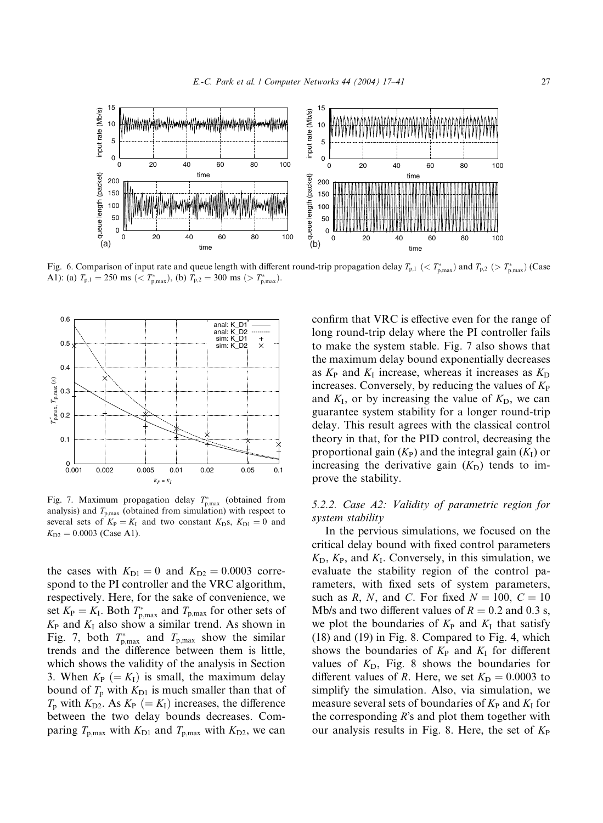

Fig. 6. Comparison of input rate and queue length with different round-trip propagation delay  $T_{p,1}$  ( $\lt T_{p,\text{max}}$ ) and  $T_{p,2}$  ( $\gt T_{p,\text{max}}$ ) (Case A1): (a)  $T_{p,1} = 250 \text{ ms } ( $T_{p,\text{max}}^*$ ), (b)  $T_{p,2} = 300 \text{ ms } ( $T_{p,\text{max}}^*$ ).$$ 



Fig. 7. Maximum propagation delay  $T_{p,\text{max}}^*$  (obtained from analysis) and  $T_{p,\text{max}}$  (obtained from simulation) with respect to several sets of  $K_{\rm P} = K_{\rm I}$  and two constant  $K_{\rm D}$ s,  $K_{\rm D1} = 0$  and  $K_{D2} = 0.0003$  (Case A1).

the cases with  $K_{D1} = 0$  and  $K_{D2} = 0.0003$  correspond to the PI controller and the VRC algorithm, respectively. Here, for the sake of convenience, we set  $K_{\rm P} = K_{\rm I}$ . Both  $T_{\rm p,max}^*$  and  $T_{\rm p,max}$  for other sets of  $K_{\rm P}$  and  $K_{\rm I}$  also show a similar trend. As shown in Fig. 7, both  $T_{p,\text{max}}^*$  and  $T_{p,\text{max}}$  show the similar trends and the difference between them is little, which shows the validity of the analysis in Section 3. When  $K_P (= K_I)$  is small, the maximum delay bound of  $T_p$  with  $K_{D1}$  is much smaller than that of  $T_p$  with  $K_{D2}$ . As  $K_P (= K_I)$  increases, the difference between the two delay bounds decreases. Comparing  $T_{p,\text{max}}$  with  $K_{D1}$  and  $T_{p,\text{max}}$  with  $K_{D2}$ , we can

confirm that VRC is effective even for the range of long round-trip delay where the PI controller fails to make the system stable. Fig. 7 also shows that the maximum delay bound exponentially decreases as  $K_{\rm P}$  and  $K_{\rm I}$  increase, whereas it increases as  $K_{\rm D}$ increases. Conversely, by reducing the values of  $K_{\rm P}$ and  $K_I$ , or by increasing the value of  $K_D$ , we can guarantee system stability for a longer round-trip delay. This result agrees with the classical control theory in that, for the PID control, decreasing the proportional gain  $(K_P)$  and the integral gain  $(K_I)$  or increasing the derivative gain  $(K<sub>D</sub>)$  tends to improve the stability.

# 5.2.2. Case A2: Validity of parametric region for system stability

In the pervious simulations, we focused on the critical delay bound with fixed control parameters  $K_D$ ,  $K_P$ , and  $K_I$ . Conversely, in this simulation, we evaluate the stability region of the control parameters, with fixed sets of system parameters, such as R, N, and C. For fixed  $N = 100$ ,  $C = 10$ Mb/s and two different values of  $R = 0.2$  and 0.3 s, we plot the boundaries of  $K_{\rm P}$  and  $K_{\rm I}$  that satisfy (18) and (19) in Fig. 8. Compared to Fig. 4, which shows the boundaries of  $K_{\rm P}$  and  $K_{\rm I}$  for different values of  $K<sub>D</sub>$ , Fig. 8 shows the boundaries for different values of R. Here, we set  $K_D = 0.0003$  to simplify the simulation. Also, via simulation, we measure several sets of boundaries of  $K_{\rm P}$  and  $K_{\rm I}$  for the corresponding  $R$ 's and plot them together with our analysis results in Fig. 8. Here, the set of  $K_{\rm P}$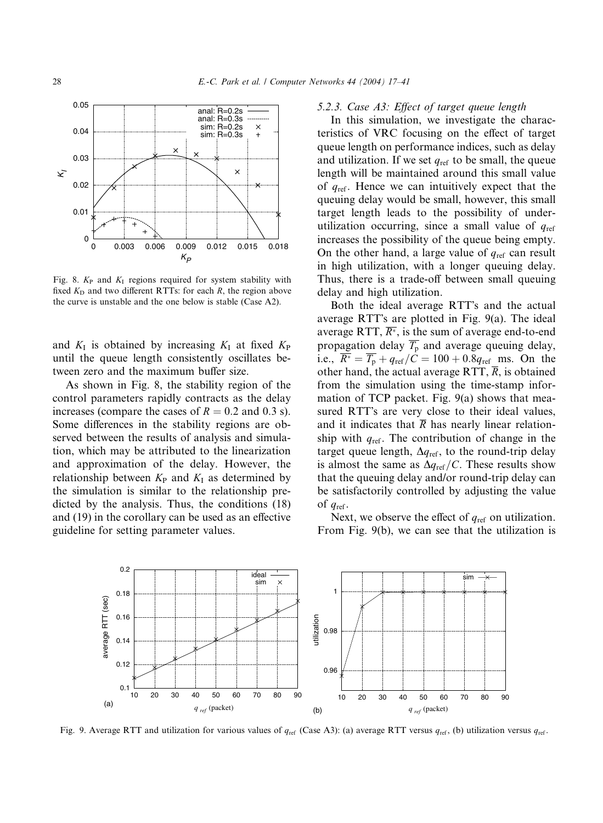

Fig. 8.  $K_{\rm P}$  and  $K_{\rm I}$  regions required for system stability with fixed  $K_D$  and two different RTTs: for each R, the region above the curve is unstable and the one below is stable (Case A2).

and  $K_I$  is obtained by increasing  $K_I$  at fixed  $K_P$ until the queue length consistently oscillates between zero and the maximum buffer size.

As shown in Fig. 8, the stability region of the control parameters rapidly contracts as the delay increases (compare the cases of  $R = 0.2$  and 0.3 s). Some differences in the stability regions are observed between the results of analysis and simulation, which may be attributed to the linearization and approximation of the delay. However, the relationship between  $K_{P}$  and  $K_{I}$  as determined by the simulation is similar to the relationship predicted by the analysis. Thus, the conditions (18) and (19) in the corollary can be used as an effective guideline for setting parameter values.

5.2.3. Case A3: Effect of target queue length

In this simulation, we investigate the characteristics of VRC focusing on the effect of target queue length on performance indices, such as delay and utilization. If we set  $q_{ref}$  to be small, the queue length will be maintained around this small value of  $q_{\text{ref}}$ . Hence we can intuitively expect that the queuing delay would be small, however, this small target length leads to the possibility of underutilization occurring, since a small value of  $q_{ref}$ increases the possibility of the queue being empty. On the other hand, a large value of  $q_{\text{ref}}$  can result in high utilization, with a longer queuing delay. Thus, there is a trade-off between small queuing delay and high utilization.

Both the ideal average RTT's and the actual average RTT's are plotted in Fig.  $9(a)$ . The ideal average RTT,  $\overline{R^*}$ , is the sum of average end-to-end propagation delay  $\overline{T_{p}}$  and average queuing delay, i.e.,  $\overline{R^*} = \overline{T_p} + q_{ref}/C = 100 + 0.8q_{ref}$  ms. On the other hand, the actual average RTT,  $\overline{R}$ , is obtained from the simulation using the time-stamp information of TCP packet. Fig. 9(a) shows that measured RTT's are very close to their ideal values, and it indicates that  $\overline{R}$  has nearly linear relationship with  $q_{\text{ref}}$ . The contribution of change in the target queue length,  $\Delta q_{\text{ref}}$ , to the round-trip delay is almost the same as  $\Delta q_{\text{ref}}/C$ . These results show that the queuing delay and/or round-trip delay can be satisfactorily controlled by adjusting the value of  $q_{\text{ref}}$ .

Next, we observe the effect of  $q_{\text{ref}}$  on utilization. From Fig. 9(b), we can see that the utilization is



Fig. 9. Average RTT and utilization for various values of  $q_{ref}$  (Case A3): (a) average RTT versus  $q_{ref}$ , (b) utilization versus  $q_{ref}$ .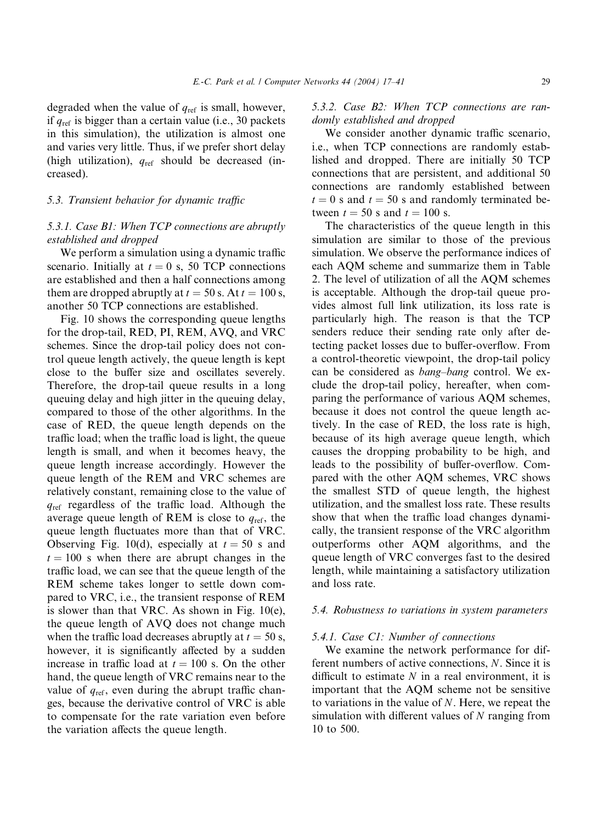degraded when the value of  $q_{ref}$  is small, however, if  $q_{\text{ref}}$  is bigger than a certain value (i.e., 30 packets in this simulation), the utilization is almost one and varies very little. Thus, if we prefer short delay (high utilization),  $q_{ref}$  should be decreased (increased).

# 5.3. Transient behavior for dynamic traffic

# 5.3.1. Case B1: When TCP connections are abruptly established and dropped

We perform a simulation using a dynamic traffic scenario. Initially at  $t = 0$  s, 50 TCP connections are established and then a half connections among them are dropped abruptly at  $t = 50$  s. At  $t = 100$  s, another 50 TCP connections are established.

Fig. 10 shows the corresponding queue lengths for the drop-tail, RED, PI, REM, AVQ, and VRC schemes. Since the drop-tail policy does not control queue length actively, the queue length is kept close to the buffer size and oscillates severely. Therefore, the drop-tail queue results in a long queuing delay and high jitter in the queuing delay, compared to those of the other algorithms. In the case of RED, the queue length depends on the traffic load; when the traffic load is light, the queue length is small, and when it becomes heavy, the queue length increase accordingly. However the queue length of the REM and VRC schemes are relatively constant, remaining close to the value of  $q_{\text{ref}}$  regardless of the traffic load. Although the average queue length of REM is close to  $q_{\text{ref}}$ , the queue length fluctuates more than that of VRC. Observing Fig. 10(d), especially at  $t = 50$  s and  $t = 100$  s when there are abrupt changes in the traffic load, we can see that the queue length of the REM scheme takes longer to settle down compared to VRC, i.e., the transient response of REM is slower than that VRC. As shown in Fig. 10(e), the queue length of AVQ does not change much when the traffic load decreases abruptly at  $t = 50$  s, however, it is significantly affected by a sudden increase in traffic load at  $t = 100$  s. On the other hand, the queue length of VRC remains near to the value of  $q_{ref}$ , even during the abrupt traffic changes, because the derivative control of VRC is able to compensate for the rate variation even before the variation affects the queue length.

5.3.2. Case B2: When TCP connections are randomly established and dropped

We consider another dynamic traffic scenario, i.e., when TCP connections are randomly established and dropped. There are initially 50 TCP connections that are persistent, and additional 50 connections are randomly established between  $t = 0$  s and  $t = 50$  s and randomly terminated between  $t = 50$  s and  $t = 100$  s.

The characteristics of the queue length in this simulation are similar to those of the previous simulation. We observe the performance indices of each AQM scheme and summarize them in Table 2. The level of utilization of all the AQM schemes is acceptable. Although the drop-tail queue provides almost full link utilization, its loss rate is particularly high. The reason is that the TCP senders reduce their sending rate only after detecting packet losses due to buffer-overflow. From a control-theoretic viewpoint, the drop-tail policy can be considered as bang–bang control. We exclude the drop-tail policy, hereafter, when comparing the performance of various AQM schemes, because it does not control the queue length actively. In the case of RED, the loss rate is high, because of its high average queue length, which causes the dropping probability to be high, and leads to the possibility of buffer-overflow. Compared with the other AQM schemes, VRC shows the smallest STD of queue length, the highest utilization, and the smallest loss rate. These results show that when the traffic load changes dynamically, the transient response of the VRC algorithm outperforms other AQM algorithms, and the queue length of VRC converges fast to the desired length, while maintaining a satisfactory utilization and loss rate.

#### 5.4. Robustness to variations in system parameters

#### 5.4.1. Case C1: Number of connections

We examine the network performance for different numbers of active connections, N. Since it is difficult to estimate  $N$  in a real environment, it is important that the AQM scheme not be sensitive to variations in the value of  $N$ . Here, we repeat the simulation with different values of  $N$  ranging from 10 to 500.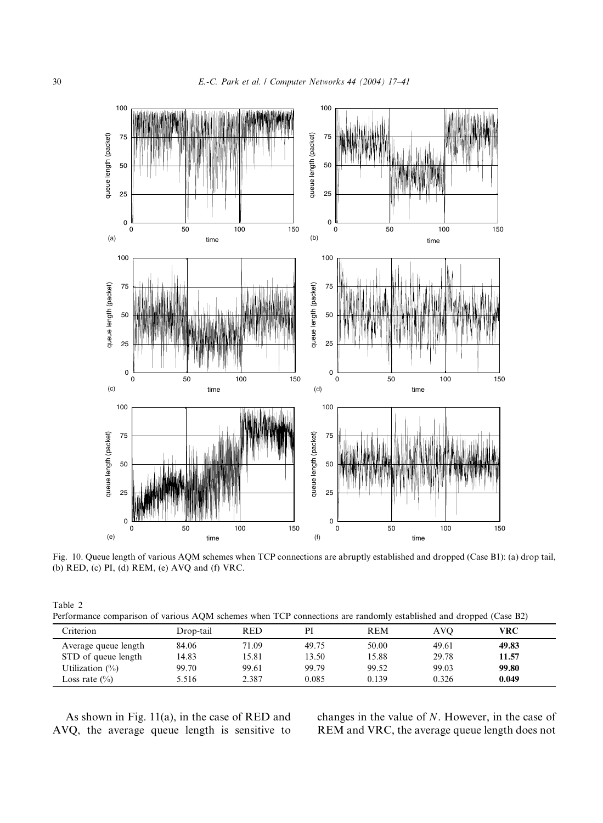

Fig. 10. Queue length of various AQM schemes when TCP connections are abruptly established and dropped (Case B1): (a) drop tail, (b) RED, (c) PI, (d) REM, (e) AVQ and (f) VRC.

| Table 2                                                                                                           |  |
|-------------------------------------------------------------------------------------------------------------------|--|
| Performance comparison of various AQM schemes when TCP connections are randomly established and dropped (Case B2) |  |

| Criterion            | Drop-tail | <b>RED</b> | PI    | REM   | AVO   | VRC   |  |
|----------------------|-----------|------------|-------|-------|-------|-------|--|
| Average queue length | 84.06     | 71.09      | 49.75 | 50.00 | 49.61 | 49.83 |  |
| STD of queue length  | 14.83     | 15.81      | 13.50 | 15.88 | 29.78 | 11.57 |  |
| Utilization $(\%)$   | 99.70     | 99.61      | 99.79 | 99.52 | 99.03 | 99.80 |  |
| Loss rate $(\% )$    | 5.516     | 2.387      | 0.085 | 0.139 | 0.326 | 0.049 |  |

As shown in Fig. 11(a), in the case of RED and AVQ, the average queue length is sensitive to changes in the value of N. However, in the case of REM and VRC, the average queue length does not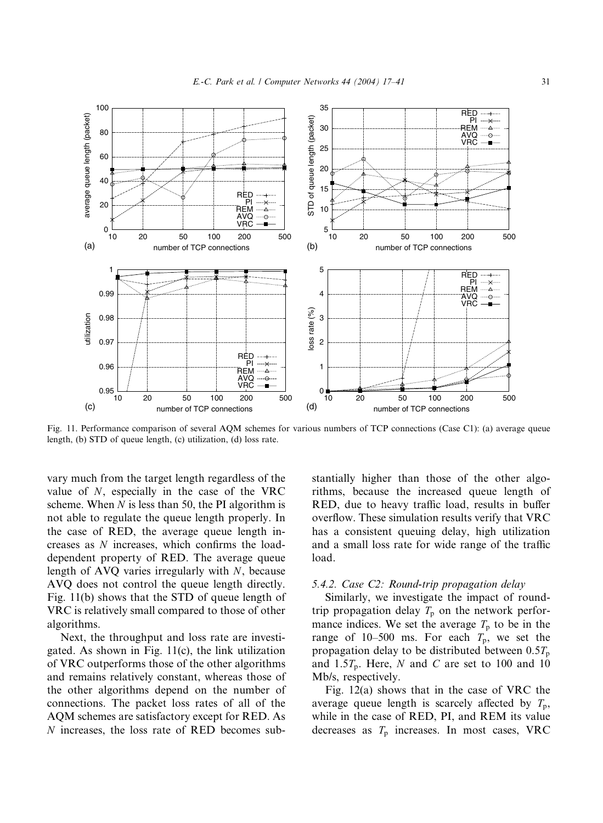

Fig. 11. Performance comparison of several AQM schemes for various numbers of TCP connections (Case C1): (a) average queue length, (b) STD of queue length, (c) utilization, (d) loss rate.

vary much from the target length regardless of the value of N, especially in the case of the VRC scheme. When  $N$  is less than 50, the PI algorithm is not able to regulate the queue length properly. In the case of RED, the average queue length increases as N increases, which confirms the loaddependent property of RED. The average queue length of AVQ varies irregularly with N, because AVQ does not control the queue length directly. Fig. 11(b) shows that the STD of queue length of VRC is relatively small compared to those of other algorithms.

Next, the throughput and loss rate are investigated. As shown in Fig. 11(c), the link utilization of VRC outperforms those of the other algorithms and remains relatively constant, whereas those of the other algorithms depend on the number of connections. The packet loss rates of all of the AQM schemes are satisfactory except for RED. As N increases, the loss rate of RED becomes substantially higher than those of the other algorithms, because the increased queue length of RED, due to heavy traffic load, results in buffer overflow. These simulation results verify that VRC has a consistent queuing delay, high utilization and a small loss rate for wide range of the traffic load.

# 5.4.2. Case C2: Round-trip propagation delay

Similarly, we investigate the impact of roundtrip propagation delay  $T_p$  on the network performance indices. We set the average  $T_p$  to be in the range of 10–500 ms. For each  $T_p$ , we set the propagation delay to be distributed between  $0.5T_{\text{p}}$ and  $1.5T_p$ . Here, N and C are set to 100 and 10 Mb/s, respectively.

Fig. 12(a) shows that in the case of VRC the average queue length is scarcely affected by  $T_p$ , while in the case of RED, PI, and REM its value decreases as  $T<sub>p</sub>$  increases. In most cases, VRC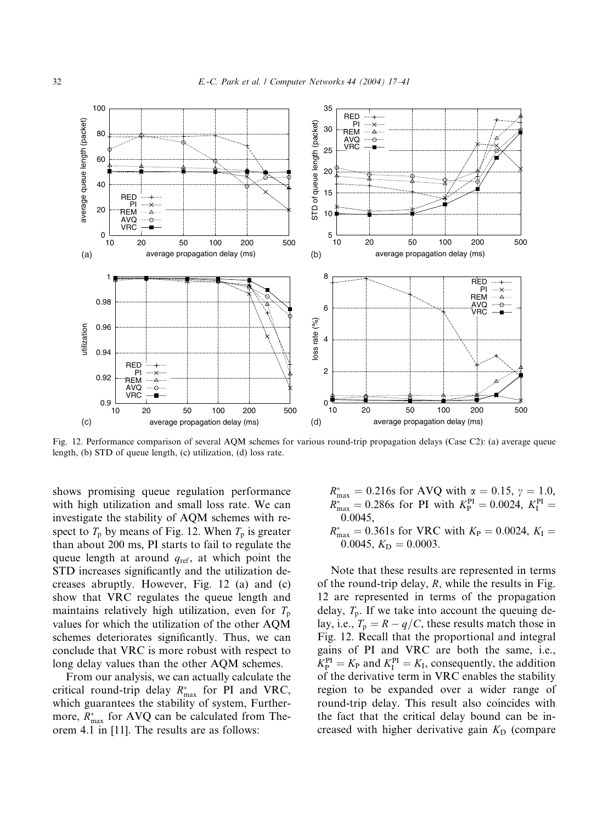

Fig. 12. Performance comparison of several AQM schemes for various round-trip propagation delays (Case C2): (a) average queue length, (b) STD of queue length, (c) utilization, (d) loss rate.

shows promising queue regulation performance with high utilization and small loss rate. We can investigate the stability of AQM schemes with respect to  $T_p$  by means of Fig. 12. When  $T_p$  is greater than about 200 ms, PI starts to fail to regulate the queue length at around  $q_{ref}$ , at which point the STD increases significantly and the utilization decreases abruptly. However, Fig. 12 (a) and (c) show that VRC regulates the queue length and maintains relatively high utilization, even for  $T_p$ values for which the utilization of the other AQM schemes deteriorates significantly. Thus, we can conclude that VRC is more robust with respect to long delay values than the other AQM schemes.

From our analysis, we can actually calculate the critical round-trip delay  $R_{\text{max}}^*$  for PI and VRC, which guarantees the stability of system, Furthermore,  $R_{\text{max}}^*$  for AVQ can be calculated from Theorem 4.1 in [11]. The results are as follows:

- $R_{\text{max}}^* = 0.216$ s for AVQ with  $\alpha = 0.15$ ,  $\gamma = 1.0$ ,  $R_{\text{max}}^* = 0.286$ s for PI with  $K_P^{\text{PI}} = 0.0024, K_I^{\text{PI}} = 0$ 0:0045,
- $R_{\text{max}}^* = 0.361$ s for VRC with  $K_P = 0.0024, K_I =$ 0.0045,  $K_D = 0.0003$ .

Note that these results are represented in terms of the round-trip delay,  $R$ , while the results in Fig. 12 are represented in terms of the propagation delay,  $T_p$ . If we take into account the queuing delay, i.e.,  $T_p = R - q/C$ , these results match those in Fig. 12. Recall that the proportional and integral gains of PI and VRC are both the same, i.e.,  $K_{\rm P}^{\rm PI} = K_{\rm P}$  and  $K_{\rm I}^{\rm PI} = K_{\rm I}$ , consequently, the addition of the derivative term in VRC enables the stability region to be expanded over a wider range of round-trip delay. This result also coincides with the fact that the critical delay bound can be increased with higher derivative gain  $K<sub>D</sub>$  (compare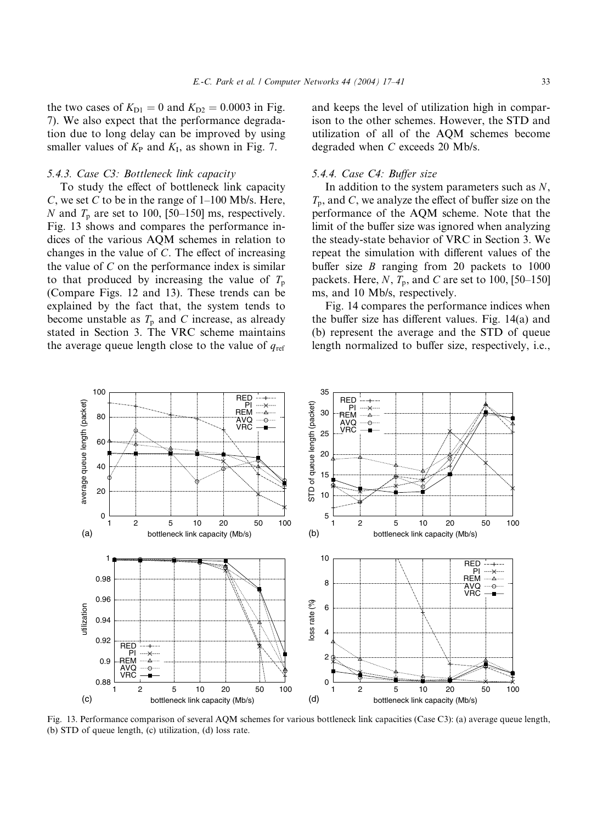the two cases of  $K_{D1} = 0$  and  $K_{D2} = 0.0003$  in Fig. 7). We also expect that the performance degradation due to long delay can be improved by using smaller values of  $K_P$  and  $K_I$ , as shown in Fig. 7.

# 5.4.3. Case C3: Bottleneck link capacity

To study the effect of bottleneck link capacity C, we set C to be in the range of  $1-100$  Mb/s. Here, N and  $T_p$  are set to 100, [50–150] ms, respectively. Fig. 13 shows and compares the performance indices of the various AQM schemes in relation to changes in the value of C. The effect of increasing the value of  $C$  on the performance index is similar to that produced by increasing the value of  $T_p$ (Compare Figs. 12 and 13). These trends can be explained by the fact that, the system tends to become unstable as  $T_p$  and C increase, as already stated in Section 3. The VRC scheme maintains the average queue length close to the value of  $q_{ref}$  and keeps the level of utilization high in comparison to the other schemes. However, the STD and utilization of all of the AQM schemes become degraded when C exceeds 20 Mb/s.

# 5.4.4. Case C4: Buffer size

In addition to the system parameters such as  $N$ ,  $T_p$ , and C, we analyze the effect of buffer size on the performance of the AQM scheme. Note that the limit of the buffer size was ignored when analyzing the steady-state behavior of VRC in Section 3. We repeat the simulation with different values of the buffer size  $B$  ranging from 20 packets to 1000 packets. Here,  $N$ ,  $T_p$ , and C are set to 100, [50–150] ms, and 10 Mb/s, respectively.

Fig. 14 compares the performance indices when the buffer size has different values. Fig. 14(a) and (b) represent the average and the STD of queue length normalized to buffer size, respectively, i.e.,



Fig. 13. Performance comparison of several AQM schemes for various bottleneck link capacities (Case C3): (a) average queue length, (b) STD of queue length, (c) utilization, (d) loss rate.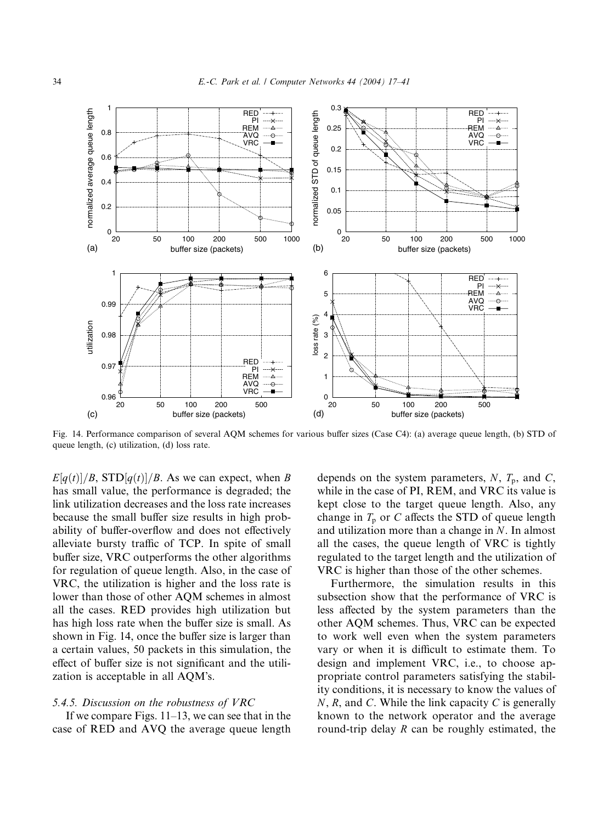

Fig. 14. Performance comparison of several AQM schemes for various buffer sizes (Case C4): (a) average queue length, (b) STD of queue length, (c) utilization, (d) loss rate.

 $E[q(t)]/B$ , STD $[q(t)]/B$ . As we can expect, when B has small value, the performance is degraded; the link utilization decreases and the loss rate increases because the small buffer size results in high probability of buffer-overflow and does not effectively alleviate bursty traffic of TCP. In spite of small buffer size, VRC outperforms the other algorithms for regulation of queue length. Also, in the case of VRC, the utilization is higher and the loss rate is lower than those of other AQM schemes in almost all the cases. RED provides high utilization but has high loss rate when the buffer size is small. As shown in Fig. 14, once the buffer size is larger than a certain values, 50 packets in this simulation, the effect of buffer size is not significant and the utilization is acceptable in all AQM's.

## 5.4.5. Discussion on the robustness of VRC

If we compare Figs. 11–13, we can see that in the case of RED and AVQ the average queue length depends on the system parameters,  $N$ ,  $T_p$ , and  $C$ , while in the case of PI, REM, and VRC its value is kept close to the target queue length. Also, any change in  $T_p$  or C affects the STD of queue length and utilization more than a change in N. In almost all the cases, the queue length of VRC is tightly regulated to the target length and the utilization of VRC is higher than those of the other schemes.

Furthermore, the simulation results in this subsection show that the performance of VRC is less affected by the system parameters than the other AQM schemes. Thus, VRC can be expected to work well even when the system parameters vary or when it is difficult to estimate them. To design and implement VRC, i.e., to choose appropriate control parameters satisfying the stability conditions, it is necessary to know the values of  $N$ , R, and C. While the link capacity C is generally known to the network operator and the average round-trip delay  $R$  can be roughly estimated, the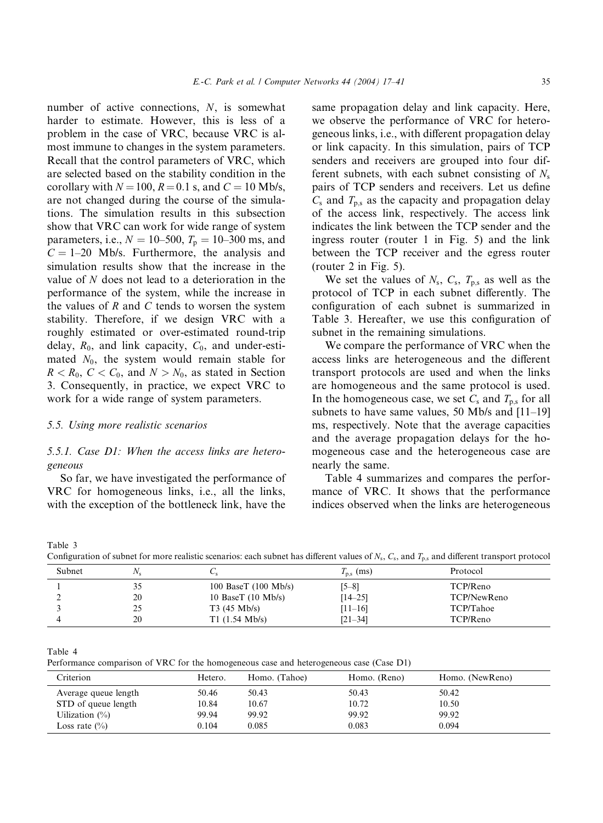number of active connections, N, is somewhat harder to estimate. However, this is less of a problem in the case of VRC, because VRC is almost immune to changes in the system parameters. Recall that the control parameters of VRC, which are selected based on the stability condition in the corollary with  $N = 100$ ,  $R = 0.1$  s, and  $C = 10$  Mb/s, are not changed during the course of the simulations. The simulation results in this subsection show that VRC can work for wide range of system parameters, i.e.,  $N = 10-500$ ,  $T_p = 10-300$  ms, and  $C = 1-20$  Mb/s. Furthermore, the analysis and simulation results show that the increase in the value of N does not lead to a deterioration in the performance of the system, while the increase in the values of  $R$  and  $C$  tends to worsen the system stability. Therefore, if we design VRC with a roughly estimated or over-estimated round-trip delay,  $R_0$ , and link capacity,  $C_0$ , and under-estimated  $N_0$ , the system would remain stable for  $R < R_0, C < C_0$ , and  $N > N_0$ , as stated in Section 3. Consequently, in practice, we expect VRC to work for a wide range of system parameters.

#### 5.5. Using more realistic scenarios

5.5.1. Case D1: When the access links are heterogeneous

So far, we have investigated the performance of VRC for homogeneous links, i.e., all the links, with the exception of the bottleneck link, have the

same propagation delay and link capacity. Here, we observe the performance of VRC for heterogeneous links, i.e., with different propagation delay or link capacity. In this simulation, pairs of TCP senders and receivers are grouped into four different subnets, with each subnet consisting of  $N_s$ pairs of TCP senders and receivers. Let us define  $C_s$  and  $T_{p,s}$  as the capacity and propagation delay of the access link, respectively. The access link indicates the link between the TCP sender and the ingress router (router 1 in Fig. 5) and the link between the TCP receiver and the egress router (router 2 in Fig. 5).

We set the values of  $N_s$ ,  $C_s$ ,  $T_{p,s}$  as well as the protocol of TCP in each subnet differently. The configuration of each subnet is summarized in Table 3. Hereafter, we use this configuration of subnet in the remaining simulations.

We compare the performance of VRC when the access links are heterogeneous and the different transport protocols are used and when the links are homogeneous and the same protocol is used. In the homogeneous case, we set  $C_s$  and  $T_{p,s}$  for all subnets to have same values, 50 Mb/s and [11–19] ms, respectively. Note that the average capacities and the average propagation delays for the homogeneous case and the heterogeneous case are nearly the same.

Table 4 summarizes and compares the performance of VRC. It shows that the performance indices observed when the links are heterogeneous

Table 3

Configuration of subnet for more realistic scenarios: each subnet has different values of  $N_s$ ,  $C_s$ , and  $T_{ps}$  and different transport protocol

| ~                                                 | .           |
|---------------------------------------------------|-------------|
| Subnet<br>$T_{\rm p,s}$ (ms)<br>$N_{\rm e}$<br>◡◦ | Protocol    |
| 100 BaseT $(100$ Mb/s)<br>$[5 - 8]$               | TCP/Reno    |
| 20<br>10 BaseT $(10$ Mb/s)<br>$[14 - 25]$         | TCP/NewReno |
| $T3(45 \text{ Mb/s})$<br>$[11 - 16]$<br>25        | TCP/Tahoe   |
| $T1$ (1.54 Mb/s)<br>20<br>$[21 - 34]$             | TCP/Reno    |

Table 4

Performance comparison of VRC for the homogeneous case and heterogeneous case (Case D1)

| Criterion            | Hetero. | Homo. (Tahoe) | Homo. (Reno) | Homo. (NewReno) |
|----------------------|---------|---------------|--------------|-----------------|
| Average queue length | 50.46   | 50.43         | 50.43        | 50.42           |
| STD of queue length  | 10.84   | 10.67         | 10.72        | 10.50           |
| Uilization $(\%)$    | 99.94   | 99.92         | 99.92        | 99.92           |
| Loss rate $(\%)$     | 0.104   | 0.085         | 0.083        | 0.094           |
|                      |         |               |              |                 |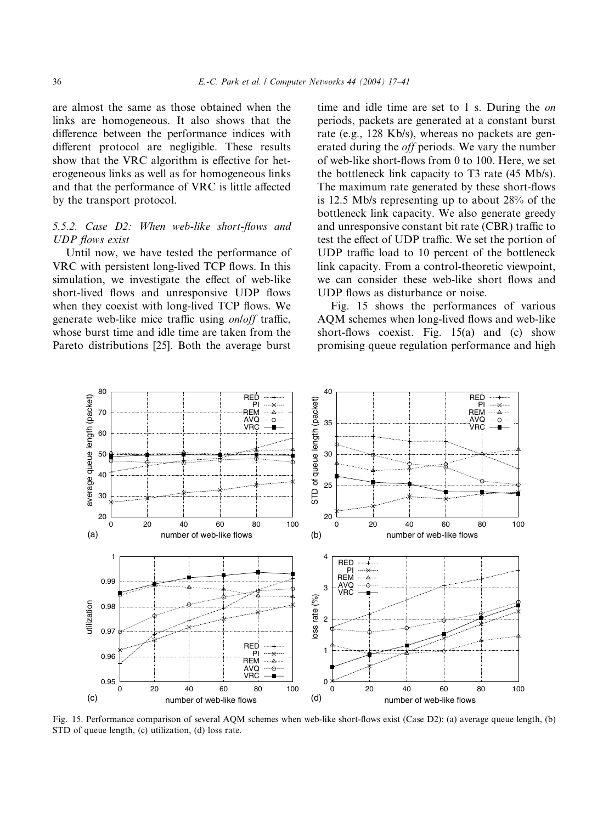are almost the same as those obtained when the links are homogeneous. It also shows that the difference between the performance indices with different protocol are negligible. These results show that the VRC algorithm is effective for heterogeneous links as well as for homogeneous links and that the performance of VRC is little affected by the transport protocol.

# 5.5.2. Case D2: When web-like short-flows and UDP flows exist

Until now, we have tested the performance of VRC with persistent long-lived TCP flows. In this simulation, we investigate the effect of web-like short-lived flows and unresponsive UDP flows when they coexist with long-lived TCP flows. We generate web-like mice traffic using on/off traffic, whose burst time and idle time are taken from the Pareto distributions [25]. Both the average burst

time and idle time are set to 1 s. During the on periods, packets are generated at a constant burst rate (e.g., 128 Kb/s), whereas no packets are generated during the off periods. We vary the number of web-like short-flows from 0 to 100. Here, we set the bottleneck link capacity to T3 rate (45 Mb/s). The maximum rate generated by these short-flows is 12.5 Mb/s representing up to about 28% of the bottleneck link capacity. We also generate greedy and unresponsive constant bit rate (CBR) traffic to test the effect of UDP traffic. We set the portion of UDP traffic load to 10 percent of the bottleneck link capacity. From a control-theoretic viewpoint, we can consider these web-like short flows and UDP flows as disturbance or noise.

Fig. 15 shows the performances of various AQM schemes when long-lived flows and web-like short-flows coexist. Fig. 15(a) and (c) show promising queue regulation performance and high



Fig. 15. Performance comparison of several AQM schemes when web-like short-flows exist (Case D2): (a) average queue length, (b) STD of queue length, (c) utilization, (d) loss rate.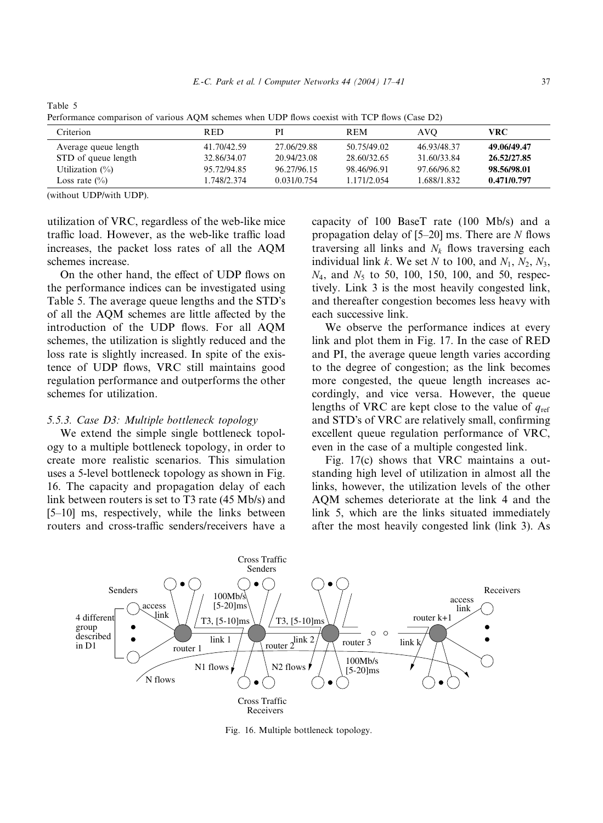| Terrorinance comparison or various AQIM schemes when ODT hows cocaist with TCT hows (Case D2) |             |             |             |             |             |  |
|-----------------------------------------------------------------------------------------------|-------------|-------------|-------------|-------------|-------------|--|
| Criterion                                                                                     | <b>RED</b>  | PI          | <b>REM</b>  | AVO         | VRC         |  |
| Average queue length                                                                          | 41.70/42.59 | 27.06/29.88 | 50.75/49.02 | 46.93/48.37 | 49.06/49.47 |  |
| STD of queue length                                                                           | 32.86/34.07 | 20.94/23.08 | 28.60/32.65 | 31.60/33.84 | 26.52/27.85 |  |
| Utilization $(\%)$                                                                            | 95.72/94.85 | 96.27/96.15 | 98.46/96.91 | 97.66/96.82 | 98.56/98.01 |  |
| Loss rate $(\% )$                                                                             | 1.748/2.374 | 0.031/0.754 | 1.171/2.054 | 1.688/1.832 | 0.471/0.797 |  |

Table 5  $AOM$  schemes when  $IIDP$  flows coexist with TCP flows  $(Case D2)$ 

(without UDP/with UDP).

utilization of VRC, regardless of the web-like mice traffic load. However, as the web-like traffic load increases, the packet loss rates of all the AQM schemes increase.

On the other hand, the effect of UDP flows on the performance indices can be investigated using Table 5. The average queue lengths and the STD's of all the AQM schemes are little affected by the introduction of the UDP flows. For all AQM schemes, the utilization is slightly reduced and the loss rate is slightly increased. In spite of the existence of UDP flows, VRC still maintains good regulation performance and outperforms the other schemes for utilization.

# 5.5.3. Case D3: Multiple bottleneck topology

We extend the simple single bottleneck topology to a multiple bottleneck topology, in order to create more realistic scenarios. This simulation uses a 5-level bottleneck topology as shown in Fig. 16. The capacity and propagation delay of each link between routers is set to T3 rate (45 Mb/s) and [5–10] ms, respectively, while the links between routers and cross-traffic senders/receivers have a capacity of 100 BaseT rate (100 Mb/s) and a propagation delay of  $[5-20]$  ms. There are N flows traversing all links and  $N_k$  flows traversing each individual link k. We set N to 100, and  $N_1$ ,  $N_2$ ,  $N_3$ ,  $N_4$ , and  $N_5$  to 50, 100, 150, 100, and 50, respectively. Link 3 is the most heavily congested link, and thereafter congestion becomes less heavy with each successive link.

We observe the performance indices at every link and plot them in Fig. 17. In the case of RED and PI, the average queue length varies according to the degree of congestion; as the link becomes more congested, the queue length increases accordingly, and vice versa. However, the queue lengths of VRC are kept close to the value of  $q_{ref}$ and STD's of VRC are relatively small, confirming excellent queue regulation performance of VRC, even in the case of a multiple congested link.

Fig. 17(c) shows that VRC maintains a outstanding high level of utilization in almost all the links, however, the utilization levels of the other AQM schemes deteriorate at the link 4 and the link 5, which are the links situated immediately after the most heavily congested link (link 3). As



Fig. 16. Multiple bottleneck topology.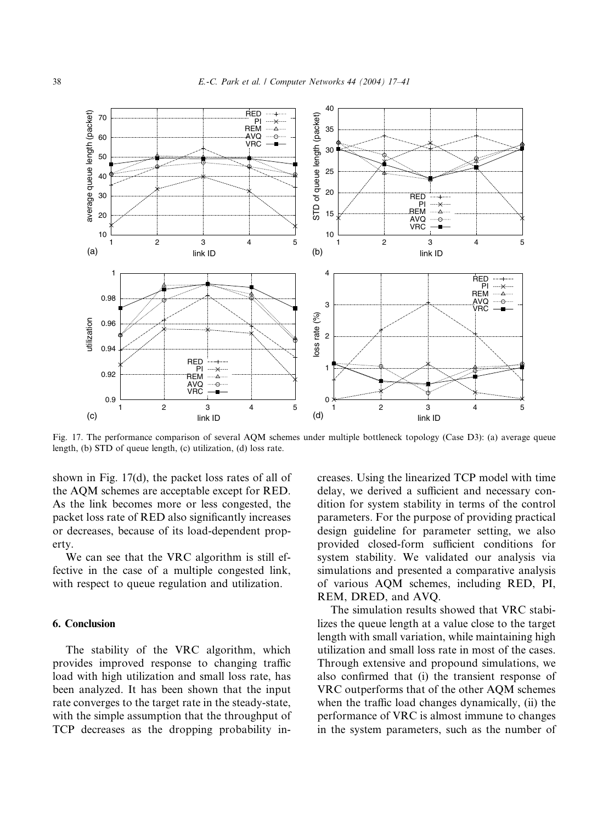

Fig. 17. The performance comparison of several AQM schemes under multiple bottleneck topology (Case D3): (a) average queue length, (b) STD of queue length, (c) utilization, (d) loss rate.

shown in Fig. 17(d), the packet loss rates of all of the AQM schemes are acceptable except for RED. As the link becomes more or less congested, the packet loss rate of RED also significantly increases or decreases, because of its load-dependent property.

We can see that the VRC algorithm is still effective in the case of a multiple congested link, with respect to queue regulation and utilization.

# 6. Conclusion

The stability of the VRC algorithm, which provides improved response to changing traffic load with high utilization and small loss rate, has been analyzed. It has been shown that the input rate converges to the target rate in the steady-state, with the simple assumption that the throughput of TCP decreases as the dropping probability increases. Using the linearized TCP model with time delay, we derived a sufficient and necessary condition for system stability in terms of the control parameters. For the purpose of providing practical design guideline for parameter setting, we also provided closed-form sufficient conditions for system stability. We validated our analysis via simulations and presented a comparative analysis of various AQM schemes, including RED, PI, REM, DRED, and AVQ.

The simulation results showed that VRC stabilizes the queue length at a value close to the target length with small variation, while maintaining high utilization and small loss rate in most of the cases. Through extensive and propound simulations, we also confirmed that (i) the transient response of VRC outperforms that of the other AQM schemes when the traffic load changes dynamically, (ii) the performance of VRC is almost immune to changes in the system parameters, such as the number of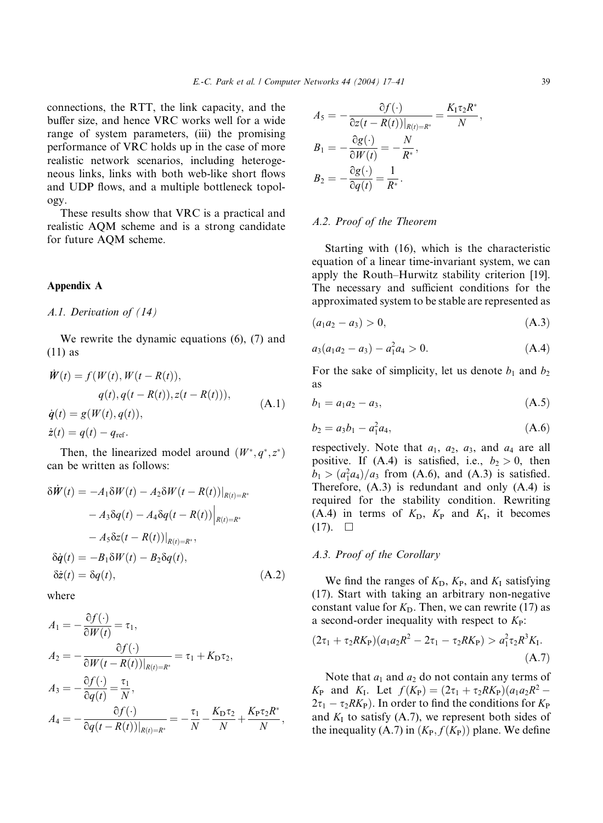connections, the RTT, the link capacity, and the buffer size, and hence VRC works well for a wide range of system parameters, (iii) the promising performance of VRC holds up in the case of more realistic network scenarios, including heterogeneous links, links with both web-like short flows and UDP flows, and a multiple bottleneck topology.

These results show that VRC is a practical and realistic AQM scheme and is a strong candidate for future AQM scheme.

#### Appendix A

A.1. Derivation of (14)

We rewrite the dynamic equations (6), (7) and (11) as

$$
\dot{W}(t) = f(W(t), W(t - R(t)),\nq(t), q(t - R(t)), z(t - R(t))),\n\dot{q}(t) = g(W(t), q(t)),\n\dot{z}(t) = q(t) - q_{ref}.
$$
\n(A.1)

Then, the linearized model around  $(W^*, q^*, z^*)$ can be written as follows:

$$
\delta \dot{W}(t) = -A_1 \delta W(t) - A_2 \delta W(t - R(t))|_{R(t) = R^*}
$$
  
\n
$$
-A_3 \delta q(t) - A_4 \delta q(t - R(t))|_{R(t) = R^*}
$$
  
\n
$$
-A_5 \delta z(t - R(t))|_{R(t) = R^*},
$$
  
\n
$$
\delta \dot{q}(t) = -B_1 \delta W(t) - B_2 \delta q(t),
$$
  
\n
$$
\delta \dot{z}(t) = \delta q(t),
$$
\n(A.2)

where

$$
A_1 = -\frac{\partial f(\cdot)}{\partial W(t)} = \tau_1,
$$
  
\n
$$
A_2 = -\frac{\partial f(\cdot)}{\partial W(t - R(t))|_{R(t) = R^*}} = \tau_1 + K_{\mathcal{D}}\tau_2,
$$
  
\n
$$
A_3 = -\frac{\partial f(\cdot)}{\partial q(t)} = \frac{\tau_1}{N},
$$
  
\n
$$
A_4 = -\frac{\partial f(\cdot)}{\partial q(t - R(t))|_{R(t) = R^*}} = -\frac{\tau_1}{N} - \frac{K_{\mathcal{D}}\tau_2}{N} + \frac{K_{\mathcal{P}}\tau_2 R^*}{N},
$$

$$
A_5 = -\frac{\partial f(\cdot)}{\partial z(t - R(t))|_{R(t) = R^*}} = \frac{K_1 \tau_2 R^*}{N},
$$
  
\n
$$
B_1 = -\frac{\partial g(\cdot)}{\partial W(t)} = -\frac{N}{R^*},
$$
  
\n
$$
B_2 = -\frac{\partial g(\cdot)}{\partial q(t)} = \frac{1}{R^*}.
$$

# A.2. Proof of the Theorem

Starting with (16), which is the characteristic equation of a linear time-invariant system, we can apply the Routh–Hurwitz stability criterion [19]. The necessary and sufficient conditions for the approximated system to be stable are represented as

$$
(a_1a_2 - a_3) > 0, \t\t (A.3)
$$

$$
a_3(a_1a_2-a_3)-a_1^2a_4>0.\t(A.4)
$$

For the sake of simplicity, let us denote  $b_1$  and  $b_2$ as

$$
b_1 = a_1 a_2 - a_3, \tag{A.5}
$$

$$
b_2 = a_3 b_1 - a_1^2 a_4,\tag{A.6}
$$

respectively. Note that  $a_1$ ,  $a_2$ ,  $a_3$ , and  $a_4$  are all positive. If  $(A.4)$  is satisfied, i.e.,  $b_2 > 0$ , then  $b_1 > (a_1^2 a_4)/a_3$  from (A.6), and (A.3) is satisfied. Therefore, (A.3) is redundant and only (A.4) is required for the stability condition. Rewriting (A.4) in terms of  $K_D$ ,  $K_P$  and  $K_I$ , it becomes  $(17)$ .  $\Box$ 

## A.3. Proof of the Corollary

We find the ranges of  $K_D$ ,  $K_P$ , and  $K_I$  satisfying (17). Start with taking an arbitrary non-negative constant value for  $K<sub>D</sub>$ . Then, we can rewrite (17) as a second-order inequality with respect to  $K_{\rm P}$ :

$$
(2\tau_1 + \tau_2 R K_{\rm P})(a_1 a_2 R^2 - 2\tau_1 - \tau_2 R K_{\rm P}) > a_1^2 \tau_2 R^3 K_{\rm I}.
$$
\n(A.7)

Note that  $a_1$  and  $a_2$  do not contain any terms of  $K_P$  and  $K_I$ . Let  $f(K_P) = (2\tau_1 + \tau_2 R K_P)(a_1 a_2 R^2 2\tau_1 - \tau_2 R K_P$ ). In order to find the conditions for  $K_P$ and  $K_I$  to satisfy (A.7), we represent both sides of the inequality (A.7) in  $(K_{P}, f(K_{P}))$  plane. We define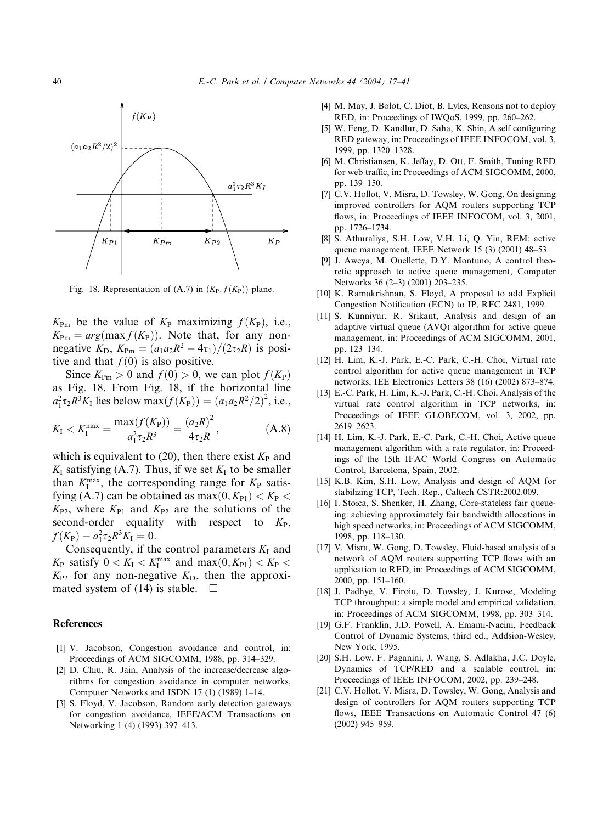

Fig. 18. Representation of  $(A.7)$  in  $(K_P, f(K_P))$  plane.

 $K_{\text{Pm}}$  be the value of  $K_{\text{P}}$  maximizing  $f(K_{\text{P}})$ , i.e.,  $K_{\text{Pm}} = arg(max f(K_{\text{P}}))$ . Note that, for any nonnegative  $K_{\text{D}}$ ,  $K_{\text{Pm}} = (a_1 a_2 R^2 - 4\tau_1)/(2\tau_2 R)$  is positive and that  $f(0)$  is also positive.

Since  $K_{\text{Pm}} > 0$  and  $f(0) > 0$ , we can plot  $f(K_{\text{P}})$ as Fig. 18. From Fig. 18, if the horizontal line  $a_1^2 \tau_2 R^3 K_1$  lies below max $(f(K_P)) = (a_1 a_2 R^2 / 2)^2$ , i.e.,

$$
K_{\rm I} < K_{\rm I}^{\rm max} = \frac{\max(f(K_{\rm P}))}{a_{\rm I}^2 \tau_2 R^3} = \frac{(a_2 R)^2}{4 \tau_2 R}, \tag{A.8}
$$

which is equivalent to (20), then there exist  $K_{\rm P}$  and  $K_I$  satisfying (A.7). Thus, if we set  $K_I$  to be smaller than  $K_I^{\text{max}}$ , the corresponding range for  $K_P$  satisfying (A.7) can be obtained as  $max(0, K_{P1}) < K_P$  $K_{P2}$ , where  $K_{P1}$  and  $K_{P2}$  are the solutions of the second-order equality with respect to  $K_{\rm P}$ ,  $f(K_{\rm P}) - a_1^2 \tau_2 R^3 K_{\rm I} = 0.$ 

Consequently, if the control parameters  $K_I$  and  $K_{\rm P}$  satisfy  $0 < K_{\rm I} < K_{\rm I}^{\rm max}$  and  $\max(0, K_{\rm P1}) < K_{\rm P} <$  $K_{P2}$  for any non-negative  $K_D$ , then the approximated system of (14) is stable.  $\square$ 

#### References

- [1] V. Jacobson, Congestion avoidance and control, in: Proceedings of ACM SIGCOMM, 1988, pp. 314–329.
- [2] D. Chiu, R. Jain, Analysis of the increase/decrease algorithms for congestion avoidance in computer networks, Computer Networks and ISDN 17 (1) (1989) 1–14.
- [3] S. Floyd, V. Jacobson, Random early detection gateways for congestion avoidance, IEEE/ACM Transactions on Networking 1 (4) (1993) 397–413.
- [4] M. May, J. Bolot, C. Diot, B. Lyles, Reasons not to deploy RED, in: Proceedings of IWQoS, 1999, pp. 260–262.
- [5] W. Feng, D. Kandlur, D. Saha, K. Shin, A self configuring RED gateway, in: Proceedings of IEEE INFOCOM, vol. 3, 1999, pp. 1320–1328.
- [6] M. Christiansen, K. Jeffay, D. Ott, F. Smith, Tuning RED for web traffic, in: Proceedings of ACM SIGCOMM, 2000, pp. 139–150.
- [7] C.V. Hollot, V. Misra, D. Towsley, W. Gong, On designing improved controllers for AQM routers supporting TCP flows, in: Proceedings of IEEE INFOCOM, vol. 3, 2001, pp. 1726–1734.
- [8] S. Athuraliya, S.H. Low, V.H. Li, Q. Yin, REM: active queue management, IEEE Network 15 (3) (2001) 48–53.
- [9] J. Aweya, M. Ouellette, D.Y. Montuno, A control theoretic approach to active queue management, Computer Networks 36 (2–3) (2001) 203–235.
- [10] K. Ramakrishnan, S. Floyd, A proposal to add Explicit Congestion Notification (ECN) to IP, RFC 2481, 1999.
- [11] S. Kunnivur, R. Srikant, Analysis and design of an adaptive virtual queue (AVQ) algorithm for active queue management, in: Proceedings of ACM SIGCOMM, 2001, pp. 123–134.
- [12] H. Lim, K.-J. Park, E.-C. Park, C.-H. Choi, Virtual rate control algorithm for active queue management in TCP networks, IEE Electronics Letters 38 (16) (2002) 873–874.
- [13] E.-C. Park, H. Lim, K.-J. Park, C.-H. Choi, Analysis of the virtual rate control algorithm in TCP networks, in: Proceedings of IEEE GLOBECOM, vol. 3, 2002, pp. 2619–2623.
- [14] H. Lim, K.-J. Park, E.-C. Park, C.-H. Choi, Active queue management algorithm with a rate regulator, in: Proceedings of the 15th IFAC World Congress on Automatic Control, Barcelona, Spain, 2002.
- [15] K.B. Kim, S.H. Low, Analysis and design of AQM for stabilizing TCP, Tech. Rep., Caltech CSTR:2002.009.
- [16] I. Stoica, S. Shenker, H. Zhang, Core-stateless fair queueing: achieving approximately fair bandwidth allocations in high speed networks, in: Proceedings of ACM SIGCOMM, 1998, pp. 118–130.
- [17] V. Misra, W. Gong, D. Towsley, Fluid-based analysis of a network of AQM routers supporting TCP flows with an application to RED, in: Proceedings of ACM SIGCOMM, 2000, pp. 151–160.
- [18] J. Padhye, V. Firoiu, D. Towsley, J. Kurose, Modeling TCP throughput: a simple model and empirical validation, in: Proceedings of ACM SIGCOMM, 1998, pp. 303–314.
- [19] G.F. Franklin, J.D. Powell, A. Emami-Naeini, Feedback Control of Dynamic Systems, third ed., Addsion-Wesley, New York, 1995.
- [20] S.H. Low, F. Paganini, J. Wang, S. Adlakha, J.C. Doyle, Dynamics of TCP/RED and a scalable control, in: Proceedings of IEEE INFOCOM, 2002, pp. 239–248.
- [21] C.V. Hollot, V. Misra, D. Towsley, W. Gong, Analysis and design of controllers for AQM routers supporting TCP flows, IEEE Transactions on Automatic Control 47 (6) (2002) 945–959.